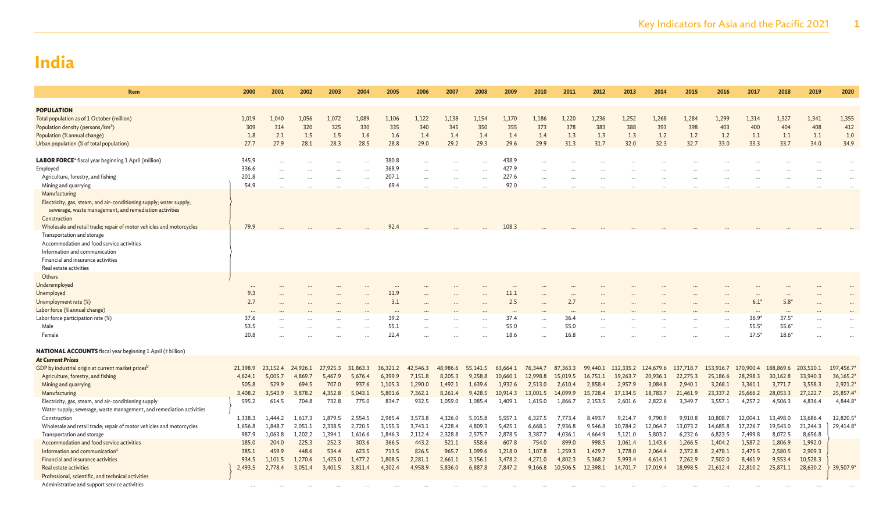| Item                                                                                                                                                                                                                                                                                                                                                                    | 2000                                                        | 2001                                                        | 2002                                                        | 2003                                                        | 2004                                                        | 2005                                                          | 2006                                                          | 2007                                                            | 2008                                                            | 2009                                                              | 2010                                                              | 2011                                                              | 2012                                                              | 2013                                                               | 2014                                                               | 2015                                                               | 2016                                                                | 2017                                                                | 2018                                                                | 2019                                                                | 2020                                                                        |
|-------------------------------------------------------------------------------------------------------------------------------------------------------------------------------------------------------------------------------------------------------------------------------------------------------------------------------------------------------------------------|-------------------------------------------------------------|-------------------------------------------------------------|-------------------------------------------------------------|-------------------------------------------------------------|-------------------------------------------------------------|---------------------------------------------------------------|---------------------------------------------------------------|-----------------------------------------------------------------|-----------------------------------------------------------------|-------------------------------------------------------------------|-------------------------------------------------------------------|-------------------------------------------------------------------|-------------------------------------------------------------------|--------------------------------------------------------------------|--------------------------------------------------------------------|--------------------------------------------------------------------|---------------------------------------------------------------------|---------------------------------------------------------------------|---------------------------------------------------------------------|---------------------------------------------------------------------|-----------------------------------------------------------------------------|
| <b>POPULATION</b><br>Total population as of 1 October (million)<br>Population density (persons/km <sup>2</sup> )<br>Population (% annual change)<br>Urban population (% of total population)                                                                                                                                                                            | 1,019<br>309<br>1.8<br>27.7                                 | 1.040<br>314<br>2.1<br>27.9                                 | 1,056<br>320<br>1.5<br>28.1                                 | 1,072<br>325<br>1.5<br>28.3                                 | 1,089<br>330<br>1.6<br>28.5                                 | 1,106<br>335<br>1.6<br>28.8                                   | 1,122<br>340<br>1.4<br>29.0                                   | 1,138<br>345<br>1.4<br>29.2                                     | 1,154<br>350<br>1.4<br>29.3                                     | 1,170<br>355<br>1.4<br>29.6                                       | 1,186<br>373<br>1.4<br>29.9                                       | 1,220<br>378<br>1.3<br>31.3                                       | 1,236<br>383<br>1.3<br>31.7                                       | 1,252<br>388<br>1.3<br>32.0                                        | 1,268<br>393<br>1.2<br>32.3                                        | 1,284<br>398<br>1.2<br>32.7                                        | 1,299<br>403<br>1.2<br>33.0                                         | 1,314<br>400<br>1.1<br>33.3                                         | 1,327<br>404<br>1.1<br>33.7                                         | 1.341<br>408<br>1.1<br>34.0                                         | 1,355<br>412<br>1.0<br>34.9                                                 |
| LABOR FORCE <sup>a</sup> fiscal year beginning 1 April (million)<br>Employed<br>Agriculture, forestry, and fishing<br>Mining and quarrying<br>Manufacturing                                                                                                                                                                                                             | 345.9<br>336.6<br>201.8<br>54.9                             |                                                             |                                                             |                                                             |                                                             | 380.8<br>368.9<br>207.1<br>69.4                               |                                                               |                                                                 | $\ddots$<br>$\cdots$<br>$\cdots$                                | 438.9<br>427.9<br>227.6<br>92.0                                   |                                                                   |                                                                   |                                                                   |                                                                    |                                                                    |                                                                    |                                                                     |                                                                     |                                                                     |                                                                     |                                                                             |
| Electricity, gas, steam, and air-conditioning supply; water supply;<br>sewerage, waste management, and remediation activities<br>Construction<br>Wholesale and retail trade; repair of motor vehicles and motorcycles<br>Transportation and storage<br>Accommodation and food service activities<br>Information and communication<br>Financial and insurance activities | 79.9                                                        |                                                             |                                                             |                                                             |                                                             | 92.4                                                          |                                                               |                                                                 |                                                                 | 108.3                                                             |                                                                   |                                                                   |                                                                   |                                                                    |                                                                    |                                                                    |                                                                     |                                                                     |                                                                     |                                                                     |                                                                             |
| Real estate activities<br>Others<br>Underemployed<br>Unemployed<br>Unemployment rate (%)<br>Labor force (% annual change)<br>Labor force participation rate (%)<br>Male<br>Female<br><b>NATIONAL ACCOUNTS</b> fiscal year beginning 1 April (₹ billion)                                                                                                                 | <br>9.3<br>2.7<br>37.6<br>53.5<br>20.8                      |                                                             |                                                             |                                                             |                                                             | 11.9<br>3.1<br>39.2<br>55.1<br>22.4                           |                                                               |                                                                 | $\ddotsc$                                                       | 11.1<br>2.5<br>37.4<br>55.0<br>18.6                               | $\cdots$<br>$\cdots$                                              | 2.7<br>36.4<br>55.0<br>16.8                                       |                                                                   |                                                                    |                                                                    |                                                                    | $\ddotsc$<br>$\ddotsc$                                              | $6.1*$<br>$36.9*$<br>$55.5*$<br>$17.5*$                             | $5.8*$<br>$37.5*$<br>$55.6*$<br>$18.6*$                             |                                                                     |                                                                             |
| <b>At Current Prices</b><br>GDP by industrial origin at current market prices <sup>b</sup><br>Agriculture, forestry, and fishing<br>Mining and quarrying<br>Manufacturing<br>Electricity, gas, steam, and air-conditioning supply<br>Water supply; sewerage, waste management, and remediation activities<br>Construction                                               | 21,398.9<br>4,624.1<br>505.8<br>3,408.2<br>595.2<br>1,338.3 | 23,152.4<br>5,005.7<br>529.9<br>3,543.9<br>614.5<br>1.444.2 | 24,926.1<br>4,869.7<br>694.5<br>3,878.2<br>704.8<br>1,617.3 | 27,925.3<br>5,467.9<br>707.0<br>4,352.8<br>732.8<br>1.879.5 | 31,863.3<br>5,676.4<br>937.6<br>5,043.1<br>775.0<br>2.554.5 | 36,321.2<br>6,399.9<br>1,105.3<br>5,801.6<br>834.7<br>2,985.4 | 42,546.3<br>7,151.8<br>1,290.0<br>7,362.1<br>932.5<br>3.573.8 | 48,986.6<br>8,205.3<br>1,492.1<br>8,261.4<br>1,059.0<br>4,326.0 | 55,141.5<br>9,258.8<br>1,639.6<br>9,428.5<br>1,085.4<br>5,015.8 | 63,664.1<br>10,660.1<br>1,932.6<br>10,914.3<br>1,409.1<br>5,557.1 | 76,344.7<br>12,998.8<br>2,513.0<br>13,001.5<br>1,615.0<br>6,327.5 | 87,363.3<br>15,019.5<br>2,610.4<br>14,099.9<br>1,866.7<br>7,773.4 | 99,440.1<br>16,751.1<br>2,858.4<br>15,728.4<br>2,153.5<br>8,493.7 | 112,335.2<br>19,263.7<br>2,957.9<br>17,134.5<br>2,601.6<br>9,214.7 | 124,679.6<br>20,936.1<br>3,084.8<br>18,783.7<br>2,822.6<br>9,790.9 | 137,718.7<br>22,275.3<br>2,940.1<br>21,461.9<br>3,349.7<br>9,910.8 | 153,916.7<br>25,186.6<br>3,268.1<br>23,337.2<br>3,557.1<br>10,808.7 | 170,900.4<br>28,298.3<br>3,361.1<br>25,666.2<br>4,257.2<br>12,004.1 | 188,869.6<br>30,162.8<br>3,771.7<br>28,053.3<br>4,506.3<br>13,498.0 | 203,510.1<br>33,940.3<br>3,558.3<br>27,122.7<br>4,836.4<br>13,686.4 | 197,456.7*<br>36,165.2*<br>$2,921.2*$<br>25,857.4*<br>4,844.8*<br>12,820.5* |
| Wholesale and retail trade; repair of motor vehicles and motorcycles<br>Transportation and storage<br>Accommodation and food service activities<br>Information and communication <sup>c</sup><br>Financial and insurance activities<br>Real estate activities<br>Professional, scientific, and technical activities<br>Administrative and support service activities    | 1,656.8<br>987.9<br>185.0<br>385.1<br>934.5<br>2,493.5      | 1,848.7<br>1,063.8<br>204.0<br>459.9<br>1,101.5<br>2,778.4  | 2,051.1<br>1,202.2<br>225.3<br>448.6<br>1,270.6<br>3,051.4  | 2,338.5<br>1.394.1<br>252.3<br>534.4<br>1,425.0<br>3,401.5  | 2,720.5<br>1,616.6<br>303.6<br>623.5<br>1.477.2<br>3,811.4  | 3,155.3<br>1,846.3<br>366.5<br>713.5<br>1,808.5<br>4,302.4    | 3,743.1<br>2,112.4<br>443.2<br>826.5<br>2,281.1<br>4,958.9    | 4,228.4<br>2,328.8<br>521.1<br>965.7<br>2,661.1<br>5,836.0      | 4,809.3<br>2,575.7<br>558.6<br>1,099.6<br>3,156.1<br>6,887.8    | 5,425.1<br>2,878.5<br>607.8<br>1,218.0<br>3,478.2<br>7,847.2      | 6,668.1<br>3,387.7<br>754.0<br>1,107.8<br>4,271.0<br>9,166.8      | 7,936.8<br>4,036.1<br>899.0<br>1,259.3<br>4,802.3<br>10,506.5     | 9,546.8<br>4,664.9<br>998.5<br>1,429.7<br>5,368.2<br>12,398.1     | 10,784.2<br>5,121.0<br>1,061.4<br>1,778.0<br>5,993.4<br>14,701.7   | 12,064.7<br>5,803.2<br>1,143.6<br>2,064.4<br>6,614.1<br>17,019.4   | 13,073.2<br>6,232.6<br>1,266.5<br>2,372.8<br>7,262.9<br>18,998.5   | 14,685.8<br>6,823.5<br>1,404.2<br>2,478.1<br>7,502.0<br>21,612.4    | 17,226.7<br>7,499.8<br>1,587.2<br>2,475.5<br>8,461.9<br>22,810.2    | 19,543.0<br>8,072.5<br>1,806.9<br>2,580.5<br>9,553.4<br>25,871.1    | 21,244.3<br>8,656.8<br>1,992.0<br>2,909.3<br>10,528.3<br>28,630.2   | 29,414.8*<br>39,507.9*                                                      |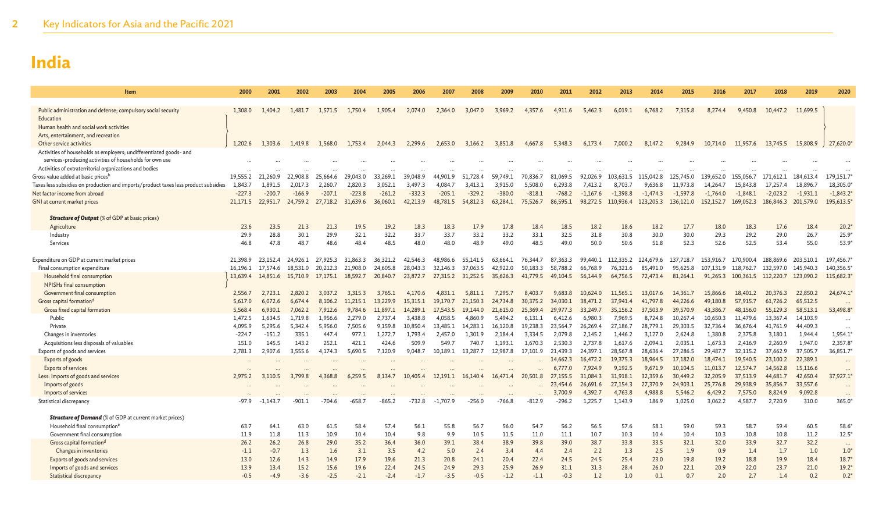| Item                                                                                                       | 2000               | 2001               | 2002               | 2003               | 2004               | 2005               | 2006                | 2007                | 2008                | 2009                | 2010                | 2011                | 2012                | 2013                | 2014                | 2015                 | 2016                 | 2017                 | 2018                 | 2019                 | 2020                |
|------------------------------------------------------------------------------------------------------------|--------------------|--------------------|--------------------|--------------------|--------------------|--------------------|---------------------|---------------------|---------------------|---------------------|---------------------|---------------------|---------------------|---------------------|---------------------|----------------------|----------------------|----------------------|----------------------|----------------------|---------------------|
|                                                                                                            |                    |                    |                    | 1.571.5            |                    | 1.905.4            | 2.074.0             |                     |                     | 3.969.2             | 4.357.6             |                     | 5.462.3             | 6.019.1             |                     | 7.315.8              |                      | 9.450.8              |                      | 11,699.5             |                     |
| Public administration and defense; compulsory social security<br>Education                                 | 1,308.0            | 1.404.2            | 1.481.7            |                    | 1.750.4            |                    |                     | 2,364.0             | 3,047.0             |                     |                     | 4,911.6             |                     |                     | 6,768.2             |                      | 8,274.4              |                      | 10,447.2             |                      |                     |
| Human health and social work activities                                                                    |                    |                    |                    |                    |                    |                    |                     |                     |                     |                     |                     |                     |                     |                     |                     |                      |                      |                      |                      |                      |                     |
| Arts, entertainment, and recreation                                                                        |                    |                    |                    |                    |                    |                    |                     |                     |                     |                     |                     |                     |                     |                     |                     |                      |                      |                      |                      |                      |                     |
| Other service activities                                                                                   | 1,202.6            | 1.303.6            | 1.419.8            | 1.568.0            | 1.753.4            | 2.044.3            | 2.299.6             | 2,653.0             | 3,166.2             | 3.851.8             | 4,667.8             | 5.348.3             | 6.173.4             | 7,000.2             | 8,147.2             | 9,284.9              | 10,714.0             | 11,957.6             | 13,745.5             | 15,808.9             | 27,620.0*           |
| Activities of households as employers; undifferentiated goods- and                                         |                    |                    |                    |                    |                    |                    |                     |                     |                     |                     |                     |                     |                     |                     |                     |                      |                      |                      |                      |                      |                     |
| services-producing activities of households for own use                                                    |                    |                    |                    |                    |                    |                    |                     |                     |                     |                     |                     |                     |                     |                     |                     |                      |                      |                      |                      |                      |                     |
| Activities of extraterritorial organizations and bodies                                                    |                    |                    |                    |                    |                    |                    |                     |                     |                     |                     |                     |                     |                     |                     |                     |                      |                      |                      |                      |                      |                     |
| Gross value added at basic prices <sup>b</sup>                                                             | 19.555.2           | 21,260.9           | 22.908.8           | 25.664.6           | 29,043.0           | 33,269.1           | 39,048.9            | 44.901.9            | 51.728.4            | 59.749.1            | 70.836.7            | 81.069.5            | 92.026.9            | 103.631.5           | 115,042.8           | 125.745.0            | 139.652.0            | 155,056.7            | 171,612.1            | 184,613.4            | 179,151.7           |
| Taxes less subsidies on production and imports/product taxes less product subsidies                        | 1,843.7            | 1,891.5            | 2.017.3            | 2,260.7            | 2,820.3            | 3,052.1            | 3,497.3             | 4,084.7             | 3,413.              | 3,915.0             | 5,508.0             | 6,293.8             | 7,413.2             | 8,703.7             | 9,636.8             | 11,973.8             | 14,264.7             | 15,843.8             | 17,257.4             | 18,896.7             | 18,305.0            |
| Net factor income from abroad                                                                              | $-227.3$           | $-200.7$           | $-166.9$           | $-207.1$           | $-223.8$           | $-261.2$           | $-332.3$            | $-205.1$            | $-329.2$            | $-380.0$            | $-818.1$            | $-768.2$            | $-1.167.6$          | $-1.398.8$          | $-1,474.3$          | $-1,597.8$           | $-1.764.0$           | $-1.848.1$           | $-2,023.2$           | $-1,931.1$           | $-1,843.2$          |
| GNI at current market prices                                                                               | 21,171.5           | 22,951.7           | 24,759.2           | 27,718.2           | 31,639.6           | 36,060.1           | 42,213.9            | 48,781.5            | 54,812.3            | 63,284.1            | 75,526.7            | 86,595.1            | 98,272.5            | 110,936.4           | 123,205.3           | 136,121.0            | 152,152.7            | 169,052.3            | 186,846.3            | 201,579.0            | 195,613.5           |
| <b>Structure of Output</b> (% of GDP at basic prices)                                                      |                    |                    |                    |                    |                    |                    |                     |                     |                     |                     |                     |                     |                     |                     |                     |                      |                      |                      |                      |                      |                     |
| Agriculture                                                                                                | 23.6               | 23.5               | 21.3               | 21.3               | 19.5               | 19.2               | 18.3                | 18.3                | 17.9                | 17.8                | 18.4                | 18.5                | 18.2                | 18.6                | 18.2                | 17.7                 | 18.0                 | 18.3                 | 17.6                 | 18.4                 | $20.2*$             |
| Industry                                                                                                   | 29.9               | 28.8               | 30.1               | 29.9               | 32.1               | 32.2               | 33.7                | 33.7                | 33.2                | 33.2                | 33.1                | 32.5                | 31.8                | 30.8                | 30.0                | 30.0                 | 29.3                 | 29.2                 | 29.0                 | 26.7                 | $25.9*$             |
| Services                                                                                                   | 46.8               | 47.8               | 48.7               | 48.6               | 48.4               | 48.5               | 48.0                | 48.0                | 48.9                | 49.0                | 48.5                | 49.0                | 50.0                | 50.6                | 51.8                | 52.3                 | 52.6                 | 52.5                 | 53.4                 | 55.0                 | 53.9*               |
|                                                                                                            |                    |                    |                    |                    |                    |                    |                     |                     |                     |                     |                     |                     |                     |                     |                     |                      |                      |                      |                      |                      |                     |
| Expenditure on GDP at current market prices                                                                | 21,398.9           | 23,152.4           | 24,926.1           | 27,925.3           | 31,863.3           | 36.321.2           | 42,546.3            | 48,986.6            | 55,141.5            | 63,664.1            | 76,344.7            | 87,363.3            | 99,440.1            | 112,335.2           | 124,679.6           | 137,718.7            | 153,916.7            | 170,900.4            | 188,869.6            | 203,510.1            | 197,456.7           |
| Final consumption expenditure                                                                              | 16,196.1           | 17,574.6           | 18,531.0           | 20,212.3           | 21,908.0           | 24,605.8           | 28,043.3            | 32,146.3            | 37,063.5            | 42,922.0            | 50,183.3            | 58,788.2            | 66,768.9            | 76,321.6            | 85,491.0            | 95,625.8             | 107,131.9            | 118,762.7            | 132,597.0            | 145,940.3            | 140,356.5           |
| Household final consumption                                                                                | 13,639.4           | 14,851.6           | 15,710.9           | 17.175.1           | 18,592.7           | 20,840.7           | 23,872.7            | 27,315.2            | 31,252.5            | 35,626.3            | 41,779.5            | 49,104.5            | 56,144.9            | 64,756.5            | 72,473.4            | 81,264.1             | 91,265.3             | 100,361.5            | 112,220.7            | 123,090.2            | 115,682.3           |
| NPISHs final consumption                                                                                   |                    |                    |                    |                    |                    |                    |                     |                     |                     |                     |                     |                     |                     |                     |                     |                      |                      |                      |                      |                      |                     |
| Government final consumption                                                                               | 2,556.7            | 2,723.1            | 2,820.2            | 3.037.2            | 3.315.3            | 3.765.1            | 4.170.6             | 4,831.1             | 5.811.1             | 7.295.7             | 8,403.7             | 9.683.8             | 10.624.0            | 11.565.1            | 13,017.6            | 14,361.7             | 15,866.6             | 18,401.2             | 20,376.3             | 22,850.2             | 24,674.1            |
| Gross capital formation <sup>d</sup>                                                                       | 5,617.0            | 6.072.6            | 6,674.4            | 8.106.2            | 11.215.1           | 13,229.9           | 15.315.1            | 19,170.7            | 21,150.3            | 24,734.8            | 30,375.2            | 34,030.1            | 38,471.2            | 37,941.4            | 41,797.8            | 44,226.6             | 49,180.8             | 57,915.7             | 61,726.2             | 65,512.5             | $\ddotsc$           |
| Gross fixed capital formation<br>Public                                                                    | 5.568.4            | 6.930.1            | 7.062.2            | 7.912.6<br>1.956.6 | 9,784.6            | 11,897.1           | 14,289.1            | 17.543.5<br>4.058.5 | 19.144.0            | 21,615.0            | 25.369.4            | 29,977.3            | 33,249.7            | 35,156.2            | 37,503.9            | 39,570.9             | 43,386.7<br>10,650.3 | 48,156.0             | 55,129.3             | 58,513.1             | 53,498.8            |
| Private                                                                                                    | 1,472.5<br>4,095.9 | 1,634.5<br>5,295.6 | 1,719.8<br>5,342.4 | 5,956.0            | 2,279.0<br>7,505.6 | 2,737.4<br>9,159.8 | 3,438.8<br>10,850.4 | 13,485.1            | 4,860.9<br>14,283.1 | 5,494.2<br>16,120.8 | 6,131.1<br>19,238.3 | 6,412.6<br>23,564.7 | 6.980.3<br>26,269.4 | 7,969.5<br>27,186.7 | 8,724.8<br>28,779.1 | 10,267.4<br>29,303.5 | 32,736.4             | 11,479.6<br>36,676.4 | 13,367.4<br>41,761.9 | 14,103.9<br>44,409.3 | $\cdots$            |
| Changes in inventories                                                                                     | $-224.7$           | $-151.2$           | 335.1              | 447.4              | 977.1              | 1.272.             | 1.793.4             | 2.457.0             | 1.301.9             | 2,184.4             | 3,334.5             | 2,079.8             | 2.145.2             | 1,446.2             | 3,127.0             | 2,624.8              | 1,380.8              | 2,375.8              | 3,180.1              | 1,944.4              | $\ddots$<br>1,954.1 |
| Acquisitions less disposals of valuables                                                                   | 151.0              | 145.5              | 143.2              | 252.1              | 421.1              | 424.6              | 509.9               | 549.7               | 740.7               | 1.193.1             | 1.670.3             | 2.530.3             | 2.737.8             | 1.617.6             | 2,094.1             | 2,035.1              | 1,673.3              | 2,416.9              | 2,260.9              | 1,947.0              | 2,357.8             |
| Exports of goods and services                                                                              | 2,781.3            | 2,907.6            | 3,555.6            | 4,174.3            | 5,690.5            | 7,120.9            | 9,048.7             | 10,189.1            | 13,287.7            | 12,987.8            | 17,101.9            | 21,439.3            | 24,397.1            | 28,567.8            | 28,636.4            | 27,286.5             | 29,487.7             | 32,115.2             | 37,662.9             | 37,505.7             | 36,851.7            |
| Exports of goods                                                                                           |                    |                    |                    |                    |                    |                    |                     |                     |                     |                     |                     | 14,662.3            | 16,472.2            | 19,375.3            | 18,964.5            | 17,182.0             | 18,474.1             | 19,540.5             | 23,100.2             | 22,389.1             | $\ddots$            |
| <b>Exports of services</b>                                                                                 |                    |                    |                    |                    |                    |                    |                     |                     |                     |                     |                     | 6,777.0             | 7,924.9             | 9,192.5             | 9,671.9             | 10,104.5             | 11,013.7             | 12,574.7             | 14,562.8             | 15,116.6             | $\ddots$            |
| Less: Imports of goods and services                                                                        | 2,975.2            | 3.110.5            | 3.799.8            | 4.368.8            | 6.259.5            | 8.134.7            | 10,405.4            | 12,191.1            | 16,140.4            | 16,471.4            | 20,501.8            | 27,155.5            | 31,084.3            | 31,918.1            | 32,359.6            | 30,449.2             | 32,205.9             | 37,513.9             | 44,681.7             | 42,650.4             | 37,927.1            |
| Imports of goods                                                                                           |                    |                    |                    |                    |                    |                    |                     |                     |                     |                     |                     | 23,454.6            | 26,691.6            | 27,154.3            | 27,370.9            | 24,903.1             | 25,776.8             | 29,938.9             | 35,856.7             | 33,557.6             | $\ddots$            |
| Imports of services                                                                                        |                    |                    |                    |                    |                    |                    |                     |                     |                     |                     |                     | 3,700.9             | 4,392.7             | 4,763.8             | 4,988.8             | 5,546.2              | 6,429.2              | 7,575.0              | 8,824.9              | 9,092.8              | $\ddots$            |
| Statistical discrepancy                                                                                    | -97.9              | $-1.143.7$         | -901.1             | $-704.6$           | -658.7             | $-865.2$           | -732.8              | $-1,707.9$          | $-256.0$            | $-766.8$            | $-812.9$            | $-296.2$            | 1,225.7             | 1,143.9             | 186.9               | 1,025.0              | 3,062.2              | 4,587.7              | 2,720.9              | 310.0                | 365.0*              |
|                                                                                                            |                    |                    |                    |                    |                    |                    |                     |                     |                     |                     |                     |                     |                     |                     |                     |                      |                      |                      |                      |                      |                     |
| <b>Structure of Demand</b> (% of GDP at current market prices)<br>Household final consumption <sup>e</sup> | 63.7               | 64.1               | 63.0               | 61.5               | 58.4               | 57.4               | 56.1                | 55.8                | 56.7                | 56.0                | 54.7                | 56.2                | 56.5                | 57.6                | 58.1                | 59.0                 | 59.3                 | 58.7                 | 59.4                 | 60.5                 | 58.6                |
| Government final consumption                                                                               | 11.9               | 11.8               | 11.3               | 10.9               | 10.4               | 10.4               | 9.8                 | 9.9                 | 10.5                | 11.5                | 11.0                | 11.1                | 10.7                | 10.3                | 10.4                | 10.4                 | 10.3                 | 10.8                 | 10.8                 | 11.2                 | $12.5*$             |
| Gross capital formation <sup>d</sup>                                                                       | 26.2               | 26.2               | 26.8               | 29.0               | 35.2               | 36.4               | 36.0                | 39.1                | 38.4                | 38.9                | 39.8                | 39.0                | 38.7                | 33.8                | 33.5                | 32.1                 | 32.0                 | 33.9                 | 32.7                 | 32.2                 | $\ddots$            |
| Changes in inventories                                                                                     | $-1.1$             | $-0.7$             | 1.3                | 1.6                | 3.1                | 3.5                | 4.2                 | 5.0                 | 2.4                 | 3.4                 | 4.4                 | 2.4                 | 2.2                 | 1.3                 | 2.5                 | 1.9                  | 0.9                  | 1.4                  | 1.7                  | 1.0                  | $1.0*$              |
| Exports of goods and services                                                                              | 13.0               | 12.6               | 14.3               | 14.9               | 17.9               | 19.6               | 21.3                | 20.8                | 24.1                | 20.4                | 22.4                | 24.5                | 24.5                | 25.4                | 23.0                | 19.8                 | 19.2                 | 18.8                 | 19.9                 | 18.4                 | $18.7*$             |
| Imports of goods and services                                                                              | 13.9               | 13.4               | 15.2               | 15.6               | 19.6               | 22.4               | 24.5                | 24.9                | 29.3                | 25.9                | 26.9                | 31.1                | 31.3                | 28.4                | 26.0                | 22.1                 | 20.9                 | 22.0                 | 23.7                 | 21.0                 | $19.2*$             |
| <b>Statistical discrepancy</b>                                                                             | $-0.5$             | $-4.9$             | $-3.6$             | $-2.5$             | $-2.1$             | $-2.4$             | $-1.7$              | $-3.5$              | $-0.5$              | $-1.2$              | $-1.1$              | $-0.3$              | 1.2                 | 1.0                 | 0.1                 | 0.7                  | 2.0                  | 2.7                  | 1.4                  | 0.2                  | $0.2*$              |
|                                                                                                            |                    |                    |                    |                    |                    |                    |                     |                     |                     |                     |                     |                     |                     |                     |                     |                      |                      |                      |                      |                      |                     |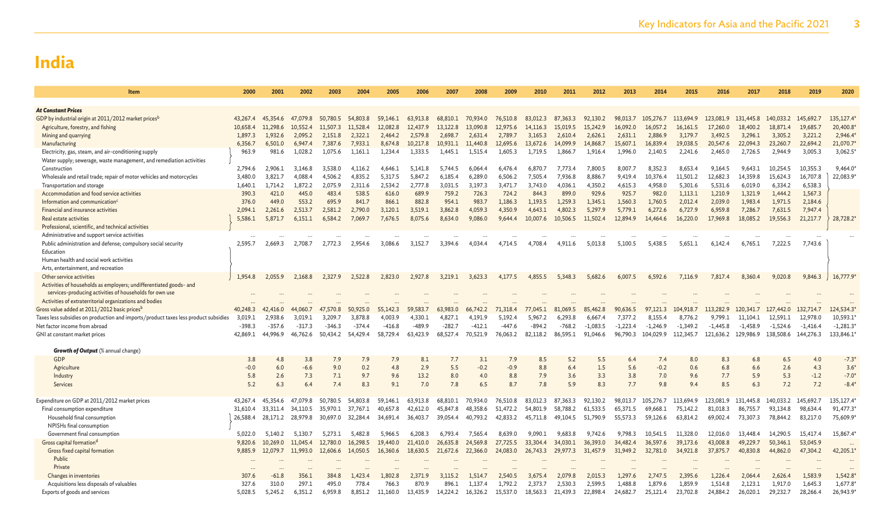| Item                                                                                | 2000     | 2001     | 2002     | 2003     | 2004     | 2005     | 2006         | 2007     | 2008         | 2009     | 2010     | 2011          | 2012         | 2013       | 2014        | 2015       | 2016       | 2017       | 2018                | 2019       | 2020       |
|-------------------------------------------------------------------------------------|----------|----------|----------|----------|----------|----------|--------------|----------|--------------|----------|----------|---------------|--------------|------------|-------------|------------|------------|------------|---------------------|------------|------------|
|                                                                                     |          |          |          |          |          |          |              |          |              |          |          |               |              |            |             |            |            |            |                     |            |            |
| <b>At Constant Prices</b>                                                           |          |          |          |          |          |          |              |          |              |          |          |               |              |            |             |            |            |            |                     |            |            |
| GDP by industrial origin at 2011/2012 market prices <sup>b</sup>                    | 43,267.4 | 45.354.6 | 47.079.8 | 50,780.5 | 54,803.8 | 59,146.1 | 63,913.8     | 68,810.1 | 70,934.0     | 76,510.8 | 83,012.3 | 87,363.3      | 92,130.2     | 98,013.7   | 105,276.7   | 113,694.9  | 123,081.9  | 131,445.8  | 140,033.2           | 145,692.7  | 135,127.4  |
| Agriculture, forestry, and fishing                                                  | 10,658.4 | 11,298.6 | 10.552.4 | 11,507.3 | .528.4   | 12,082.8 | 12,437.9     | 13,122.8 | 13,090.8     | 12,975.6 | 14,116.3 | 15,019.5      | 15,242.9     | 16,092.0   | 16,057.2    | 16,161.5   | 17,260.0   | 18,400.2   | 18,871.4            | 19,685.7   | 20,400.8   |
| Mining and quarrying                                                                | 1,897.3  | 1,932.6  | 2,095.2  | 2,151.8  | 2,322.1  | 2,464.2  | 2,579.8      | 2,698.7  | 2,631.4      | 2,789.7  | 3,165.3  | 2,610.4       | 2,626.1      | 2,631.1    | 2,886.9     | 3,179.7    | 3,492.5    | 3,296.1    | 3,305.2             | 3,221.2    | 2,946.4    |
| Manufacturing                                                                       | 6,356.7  | 6,501.0  | 6,947.4  | 7,387.6  | 7,933.1  | 8,674.8  | 10,217.8     | 10,931.1 | 11,440.8     | 12,695.6 | 13,672.6 | 14,099.9      | 14,868.7     | 15,607.1   | 16,839.4    | 19,038.5   | 20,547.6   | 22,094.3   | 23,260.7            | 22,694.2   | 21,070.7   |
| Electricity, gas, steam, and air-conditioning supply                                | 963.9    | 981.6    | 1,028.2  | 1,075.6  | 1,161.1  | 1,234.4  | 1,333.5      | 1,445.1  | 1,515.4      | 1,605.3  | 1,719.5  | 1,866.7       | 1,916.4      | 1,996.0    | 2,140.5     | 2,241.6    | 2,465.0    | 2,726.5    | 2,944.9             | 3,005.3    | 3,062.5    |
| Water supply; sewerage, waste management, and remediation activities                |          |          |          |          |          |          |              |          |              |          |          |               |              |            |             |            |            |            |                     |            |            |
| Construction                                                                        | 2,794.6  | 2.906.1  | 3.146.8  | 3.538.0  | 4.116.2  | 4.646.   | 5.141.8      | 5.744.5  | 6.064.       | 6.476.4  | 6,870.7  | 7.773.4       | 7.800.5      | 8.007.7    | 8.352.3     | 8.653.4    | 9.164.5    | 9.643.1    | 10.254.5            | 10,355.3   | 9,464.0    |
| Wholesale and retail trade; repair of motor vehicles and motorcycles                | 3,480.0  | 3,821.7  | 4,088.   | 4,506.2  | 4,835.2  | 5,317.5  | 5,847.2      | 6,185.4  | 6,289.0      | 6,506.2  | 7,505.4  | 7,936.8       | 8,886.7      | 9,419.4    | 10,376.4    | 11,501.2   | 12,682.3   | 14,359.8   | 15,624.3            | 16,707.8   | 22,083.9*  |
| Transportation and storage                                                          | 1,640.1  | 1,714.2  | 1,872.2  | 2,075.9  | 2,311.6  | 2,534.2  | 2,777.8      | 3,031.5  | 3,197.3      | 3,471.7  | 3,743.0  | 4,036.1       | 4,350.2      | 4,615.3    | 4,958.0     | 5,301.6    | 5,531.6    | 6,019.0    | 6,334.2             | 6,538.3    |            |
| Accommodation and food service activities                                           | 390.3    | 421.0    | 445.0    | 483.4    | 538.5    | 616.0    | 689.9        | 759.2    | 726.3        | 724.2    | 844.3    | 899.0         | 929.6        | 925.7      | 982.0       | 1,113.1    | 1,210.9    | 1,321.9    | 1,444.2             | 1,567.3    |            |
| Information and communication <sup>c</sup>                                          | 376.0    | 449.0    | 553.2    | 695.9    | 841.7    | 866.1    | 882.8        | 954.1    | 983.7        | 1.186.3  | 1.193.5  | 1.259.3       | 1.345.1      | 1.560.3    | 1.760.5     | 2.012.4    | 2,039.0    | 1.983.4    | 1,971.5             | 2,184.6    |            |
| Financial and insurance activities                                                  | 2.094.1  | 2.261.6  | 2.513.7  | 2.581.2  | 2,790.0  | 3,120.1  | 3.519.1      | 3,862.8  | 4.059.3      | 4.350.9  | 4,643.1  | 4.802.3       | 5,297.9      | 5,779.1    | 6,272.6     | 6,727.9    | 6.959.8    | 7.286.7    | 7,631.5             | 7,947.4    |            |
| Real estate activities                                                              | 5,586.1  | 5,871.7  | 6,151.1  | 6,584.2  | 7,069.7  | 7,676.5  | 8,075.6      | 8,634.0  | 9,086.0      | 9,644.4  | 10,007.6 | 10,506.5      | 11,502.4     | 12,894.9   | 14,464.6    | 16,220.0   | 17,969.8   | 18,085.2   | 19,556.3            | 21,217.7   | 28,728.2*  |
|                                                                                     |          |          |          |          |          |          |              |          |              |          |          |               |              |            |             |            |            |            |                     |            |            |
| Professional, scientific, and technical activities                                  |          |          |          |          |          |          |              |          |              |          |          |               |              |            |             |            |            |            |                     |            |            |
| Administrative and support service activities                                       | 2.595.7  | 2.669.3  |          |          |          |          |              |          | 4.034.4      | 4,714.5  |          | 4.911.6       | 5.013.8      | 5.100.5    | 5.438.5     | 5.651.1    |            |            | 7.222.5             |            |            |
| Public administration and defense; compulsory social security                       |          |          | 2,708.7  | 2,772.3  | 2,954.6  | 3,086.6  | 3,152.7      | 3,394.6  |              |          | 4,708.4  |               |              |            |             |            | 6,142.4    | 6,765.1    |                     | 7,743.6    |            |
| Education                                                                           |          |          |          |          |          |          |              |          |              |          |          |               |              |            |             |            |            |            |                     |            |            |
| Human health and social work activities                                             |          |          |          |          |          |          |              |          |              |          |          |               |              |            |             |            |            |            |                     |            |            |
| Arts, entertainment, and recreation                                                 |          |          |          |          |          |          |              |          |              |          |          |               |              |            |             |            |            |            |                     |            |            |
| Other service activities                                                            | 1.954.8  | 2.055.9  | 2.168.8  | 2.327.9  | 2.522.8  | 2.823.0  | 2.927.8      | 3.219.1  | 3,623.3      | 4.177.5  | 4,855.5  | 5.348.3       | 5.682.6      | 6.007.5    | 6,592.6     | 7,116.9    | 7,817.4    | 8.360.4    | 9,020.8             | 9,846.3    | 16,777.9   |
| Activities of households as employers; undifferentiated goods- and                  |          |          |          |          |          |          |              |          |              |          |          |               |              |            |             |            |            |            |                     |            |            |
| services-producing activities of households for own use                             |          |          |          |          |          |          |              |          |              |          |          |               |              |            |             |            |            |            |                     |            |            |
| Activities of extraterritorial organizations and bodies                             |          |          |          |          |          |          |              |          |              |          |          |               |              |            |             |            |            |            |                     |            |            |
| Gross value added at 2011/2012 basic prices <sup>b</sup>                            | 40,248.3 | 42,416.0 | 44,060.7 | 570.8    | ,925.0   | 55,142.3 | 59.<br>583.7 | 63,983.0 | 742.2<br>66, | 71,318.4 | 045.1    | 1,069.5<br>8. | 462.8<br>85, | 90,636.5   | 121.3<br>97 | 104,918.7  | 113,282.9  | 120,341.7  | ,442.0              | 132,714.7  | 124,534.3* |
| Taxes less subsidies on production and imports/product taxes less product subsidies | 3,019.1  | 2.938.6  | 3,019.1  | 3,209.7  | 3,878.8  | 4.003.9  | 4,330.1      | 4,827.1  | 4.191.9      | 5,192.4  | 5,967.2  | 6,293.8       | 6,667.4      | 7,377.2    | 8,155.4     | 8,776.2    | 9,799.1    | 11.104.1   | 12,591.1            | 12,978.0   | 10,593.1   |
| Net factor income from abroad                                                       | $-398.3$ | $-357.6$ | $-317.3$ | $-346.3$ | $-374.4$ | $-416.8$ | $-489.9$     | $-282.7$ | $-412.1$     | $-447.6$ | $-894.2$ | $-768.2$      | $-1.083.5$   | $-1.223.4$ | $-1.246.9$  | $-1.349.2$ | $-1.445.8$ | $-1.458.9$ | $-1,524.6$          | $-1,416.4$ | $-1,281.3$ |
| GNI at constant market prices                                                       | 42.869.1 | 44.996.9 | 46.762.6 | 50.434.2 | 54,429.4 | 58,729.4 | 63,423.9     | 68.527.4 | 70.521.9     | 76.063.2 | 82,118.2 | 86.595.1      | 91.046.6     | 96.790.3   | 104,029.9   | 112,345.7  | 121.636.2  | 129,986.9  | 138,508.6 144,276.3 |            | 133,846.1  |
|                                                                                     |          |          |          |          |          |          |              |          |              |          |          |               |              |            |             |            |            |            |                     |            |            |
| <b>Growth of Output</b> (% annual change)                                           |          |          |          |          |          |          |              |          |              |          |          |               |              |            |             |            |            |            |                     |            |            |
| GDP                                                                                 | 3.8      | 4.8      | 3.8      | 7.9      | 7.9      | 7.9      | 8.1          | 7.7      | 3.1          | 7.9      | 8.5      | 5.2           | 5.5          | 6.4        | 7.4         | 8.0        | 8.3        | 6.8        | 6.5                 | 4.0        | $-7.3*$    |
| Agriculture                                                                         | $-0.0$   | 6.0      | $-6.6$   | 9.0      | 0.2      | 4.8      | 2.9          | 5.5      | $-0.2$       | $-0.9$   | 8.8      | 6.4           | 1.5          | 5.6        | $-0.2$      | 0.6        | 6.8        | 6.6        | 2.6                 | 4.3        | $3.6*$     |
| Industry                                                                            | 5.8      | 2.6      | 7.3      | 7.1      | 9.7      | 9.6      | 13.2         | 8.0      | 4.0          | 8.8      | 7.9      | 3.6           | 3.3          | 3.8        | 7.0         | 9.6        | 7.7        | 5.9        | 5.3                 | $-1.2$     | $-7.0*$    |
| Services                                                                            | 5.2      | 6.3      | 6.4      | 7.4      | 8.3      | 9.1      | 7.0          | 7.8      | 6.5          | 8.7      | 7.8      | 5.9           | 8.3          | 7.7        | 9.8         | 9.4        | 8.5        | 6.3        | 7.2                 | 7.2        | $-8.4$     |
|                                                                                     |          |          |          |          |          |          |              |          |              |          |          |               |              |            |             |            |            |            |                     |            |            |
| Expenditure on GDP at 2011/2012 market prices                                       | 43,267.4 | 45.354.6 | 47.079.8 | 50,780.5 | 54,803.8 | 59,146.1 | 63,913.8     | 68,810.1 | 70,934.0     | 76,510.8 | 83,012.3 | 87,363.3      | 92,130.2     | 98,013.7   | 105,276.7   | 113,694.9  | 123,081.9  | 131,445.8  | 140,033.2           | 145,692.7  | 135,127.4  |
| Final consumption expenditure                                                       | 31.610.4 | 33.311.4 | 34.110.5 | 35.970.1 | 37,767.1 | 40,657.8 | 42,612.0     | 45,847.8 | 48.358.6     | 51,472.2 | 54,801.9 | 58,788.2      | 61,533.5     | 65,371.5   | 69,668.1    | 75,142.2   | 81,018.3   | 86,755.7   | 93,134.8            | 98,634.4   | 91,477.3   |
| Household final consumption                                                         | 26,588.4 | 28,171.2 | 28,979.8 | 30,697.0 | 32,284.4 | 34,691.4 | 36,403.7     | 39,054.4 | 40,793.2     | 42,833.2 | 45,711.8 | 49,104.5      | 51,790.9     | 55,573.3   | 59,126.6    | 63,814.2   | 69,002.4   | 73,307.3   | 78,844.2            | 83,217.0   | 75,609.9   |
| NPISHs final consumption                                                            |          |          |          |          |          |          |              |          |              |          |          |               |              |            |             |            |            |            |                     |            |            |
| Government final consumption                                                        | 5,022.0  | 5,140.2  | 5,130.7  | 5,273.1  | 5,482.8  | 5,966.5  | 6,208.3      | 6,793.4  | 7,565.4      | 8,639.0  | 9,090.1  | 9.683.8       | 9,742.6      | 9,798.3    | 10,541.5    | 11,328.0   | 12,016.0   | 13,448.4   | 14,290.5            | 15,417.4   | 15,867.4   |
| Gross capital formationd                                                            | 9,820.6  | 10,269.0 | 11,045.4 | 12,780.0 | 16,298.5 | 19,440.0 | 21,410.0     | 26,635.8 | 24,569.8     | 27,725.5 | 33,304.4 | 34,030.1      | 36,393.0     | 34,482.4   | 36,597.6    | 39,173.6   | 43,008.8   | 49,229.7   | 50,346.1            | 53,045.9   | $\cdots$   |
| Gross fixed capital formation                                                       | 9,885.9  | 12,079.7 | 11,993.0 | 12,606.6 | 14,050.5 | 16,360.6 | 18,630.5     | 21,672.6 | 22,366.0     | 24,083.0 | 26,743.3 | 29,977.3      | 31,457.9     | 31,949.2   | 32,781.0    | 34,921.8   | 37,875.7   | 40,830.8   | 44,862.0            | 47,304.2   | 42,205.1   |
| Public                                                                              |          |          |          |          |          |          |              |          |              |          |          |               |              |            |             |            |            |            |                     |            |            |
| Private                                                                             |          |          |          |          |          |          |              |          |              |          |          |               |              |            |             |            |            |            |                     |            |            |
| Changes in inventories                                                              | 307.6    | $-61.8$  | 356.1    | 384.8    | 1,423.4  | 1,802.8  | 2,371.9      | 3,115.2  | 1.514.7      | 2,540.5  | 3,675.4  | 2,079.8       | 2,015.3      | 1,297.6    | 2,747.5     | 2,395.6    | 1,226.4    | 2,064.4    | 2,626.4             | 1,583.9    | 1,542.8    |
| Acquisitions less disposals of valuables                                            | 327.6    | 310.0    | 297.1    | 495.0    | 778.4    | 766.3    | 870.9        | 896.1    | 1.137.4      | 1,792.2  | 2,373.7  | 2,530.3       | 2.599.5      | 1,488.8    | 1,879.6     | 1,859.9    | 1.514.8    | 2,123.1    | 1,917.0             | 1.645.3    | 1,677.8    |
| Exports of goods and services                                                       | 5,028.5  | 5,245.2  | 6,351.2  | 6,959.8  | 8,851.2  | 11.160.0 | 13,435.9     | 14,224.2 | 16,326.2     | 15,537.0 | 18,563.3 | 21,439.3      | 22,898.4     | 24,682.7   | 25,121.4    | 23,702.8   | 24,884.2   | 26,020.1   | 29,232.7            | 28,266.4   | 26,943.9   |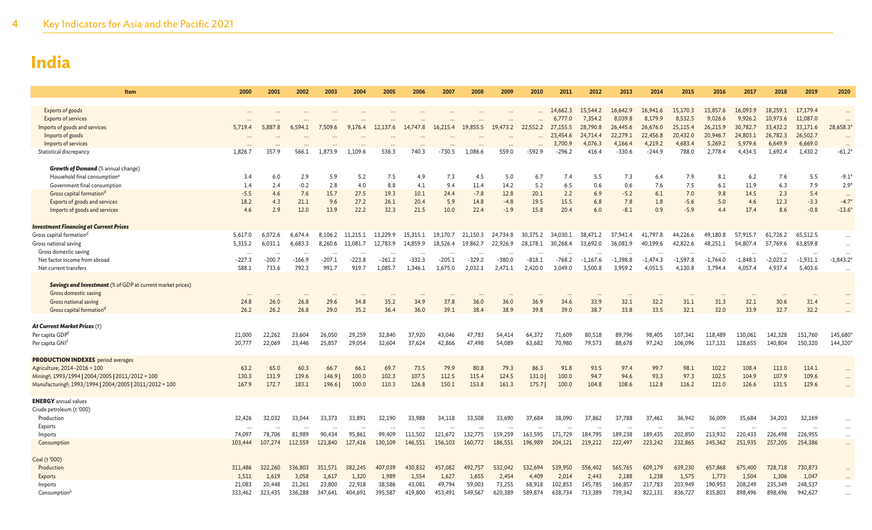| Item                                                                 | 2000           | 2001       | 2002     | 2003              | 2004     | 2005              | 2006              |          |          | 2009     | 2010     | 2011     | 2012       | 2013       | 2014       | 2015       | 2016       | 2017       | 2018       | 2019             | 2020        |
|----------------------------------------------------------------------|----------------|------------|----------|-------------------|----------|-------------------|-------------------|----------|----------|----------|----------|----------|------------|------------|------------|------------|------------|------------|------------|------------------|-------------|
|                                                                      |                |            |          |                   |          |                   |                   |          |          |          |          |          |            |            |            |            |            |            |            |                  |             |
| Exports of goods                                                     |                |            |          |                   |          |                   |                   |          |          |          |          | 14,662.3 | 15,544.2   | 16,642.9   | 16,941.6   | 15,170.3   | 15,857.6   | 16.093.9   | 18,259.1   | 17,179.4         |             |
| <b>Exports of services</b>                                           | $\cdots$       |            | $\cdots$ | $\cdots$          |          | $\cdots$          | $\cdots$          |          | $\cdots$ | $\cdots$ |          | 6,777.0  | 7,354.2    | 8,039.8    | 8,179.9    | 8,532.5    | 9,026.6    | 9,926.2    | 10,973.6   | 11,087.0         | $\cdots$    |
| Imports of goods and services                                        | 5,719.4        | 5,887.8    | 6,594.1  | 7,509.6           | 9,176.4  | 12,137.6          | 14,747.8          | 16,215.4 | 19,855.5 | 19,473.2 | 22,552.2 | 27,155.5 | 28,790.8   | 26,445.6   | 26,676.0   | 25,115.4   | 26,215.9   | 30,782.7   | 33,432.2   | 33,171.6         | 28,658.3*   |
| Imports of goods                                                     |                |            |          |                   |          |                   |                   |          |          |          |          | 23,454.6 | 24,714.4   | 22,279.1   | 22,456.8   | 20,432.0   | 20,946.7   | 24,803.1   | 26,782.3   | 26,502.7         | $\cdots$    |
| Imports of services                                                  |                |            |          |                   |          |                   |                   |          |          |          |          | 3,700.9  | 4,076.3    | 4,166.4    | 4,219.2    | 4,683.4    | 5,269.2    | 5,979.6    | 6,649.9    | 6,669.0          | $\cdots$    |
| Statistical discrepancy                                              | 1,826.7        | 357.9      | 566.1    | 1,873.9           | 1,109.6  | 536.3             | 740.3             | -730.5   | 1,086.6  | 559.0    | $-592.9$ | $-296.2$ | 416.4      | $-330.6$   | $-244.9$   | 788.0      | 2,778.4    | 4,434.5    | 1,692.4    | 1,430.2          | $-61.2*$    |
|                                                                      |                |            |          |                   |          |                   |                   |          |          |          |          |          |            |            |            |            |            |            |            |                  |             |
| Growth of Demand (% annual change)                                   |                |            |          |                   |          |                   |                   |          |          |          |          |          |            |            |            |            |            |            |            |                  |             |
| Household final consumption <sup>e</sup>                             | 3.4            | 6.0        | 2.9      | 5.9               | 5.2      | 7.5               | 4.9               | 7.3      | 4.5      | 5.0      | 6.7      | 7.4      | 5.5        | 7.3        | 6.4        | 7.9        | 8.1        | 6.2        | 7.6        | 5.5              | $-9.1'$     |
| Government final consumption                                         | 1.4            | 2.4        | $-0.2$   | 2.8               | 4.0      | 8.8               | 4.1               | 9.4      | 11.4     | 14.2     | 5.2      | 6.5      | 0.6        | 0.6        | 7.6        | 7.5        | 6.1        | 11.9       | 6.3        | 7.9              | $2.9*$      |
| Gross capital formation <sup>d</sup>                                 | $-5.5$<br>18.2 | 4.6<br>4.3 | 7.6      | 15.7              | 27.5     | 19.3              | 10.1              | 24.4     | $-7.8$   | 12.8     | 20.1     | 2.2      | 6.9        | $-5.2$     | 6.1        | 7.0        | 9.8        | 14.5       | 2.3        | 5.4              | $\ddots$    |
| Exports of goods and services                                        |                |            | 21.1     | 9.6               | 27.2     | 26.1              | 20.4              | 5.9      | 14.8     | $-4.8$   | 19.5     | 15.5     | 6.8        | 7.8        | 1.8<br>0.9 | $-5.6$     | 5.0        | 4.6        | 12.3       | $-3.3$<br>$-0.8$ | $-4.7*$     |
| Imports of goods and services                                        | 4.6            | 2.9        | 12.0     | 13.9              | 22.2     | 32.3              | 21.5              | 10.0     | 22.4     | $-1.9$   | 15.8     | 20.4     | 6.0        | $-8.1$     |            | $-5.9$     | 4.4        | 17.4       | 8.6        |                  | $-13.6$     |
| <b>Investment Financing at Current Prices</b>                        |                |            |          |                   |          |                   |                   |          |          |          |          |          |            |            |            |            |            |            |            |                  |             |
| Gross capital formation <sup>d</sup>                                 | 5,617.0        | 6,072.6    | 6,674.4  | 8,106.2           | 11,215.1 | 13,229.9          | 15,315.1          | 19,170.7 | 21,150.3 | 24,734.8 | 30,375.2 | 34,030.1 | 38,471.2   | 37,941.4   | 41,797.8   | 44,226.6   | 49,180.8   | 57,915.7   | 61,726.2   | 65,512.5         |             |
| Gross national saving                                                | 5,315.2        | 6,031.1    | 6,683.3  | 8,260.6           | 11,081.7 | 12,783.9          | 14,859.9          | 18,526.4 | 19,862.7 | 22,926.9 | 28,178.1 | 30,268.4 | 33,692.0   | 36,081.9   | 40,199.6   | 42,822.6   | 48,251.1   | 54,807.4   | 57,769.6   | 63,859.8         |             |
| Gross domestic saving                                                |                |            |          |                   |          |                   | $\cdots$          |          |          |          |          |          |            |            |            |            |            |            |            |                  | $\cdots$    |
| Net factor income from abroad                                        | $-227.3$       | $-200.7$   | $-166.9$ | $-207.1$          | $-223.8$ | $-261.2$          | $-332.3$          | $-205.1$ | $-329.2$ | $-380.0$ | $-818.1$ | $-768.2$ | $-1,167.6$ | $-1,398.8$ | $-1,474.3$ | $-1,597.8$ | $-1,764.0$ | $-1,848.1$ | $-2,023.2$ | $-1,931.1$       | $-1,843.2*$ |
| Net current transfers                                                | 588.1          | 733.6      | 792.3    | 991.7             | 919.7    | 1,085.7           | 1,346.1           | 1,675.0  | 2,032.1  | 2,471.1  | 2,420.0  | 3,049.0  | 3,500.8    | 3,959.2    | 4,051.5    | 4,130.8    | 3,794.4    | 4,057.4    | 4,937.4    | 5,403.6          | $\cdots$    |
|                                                                      |                |            |          |                   |          |                   |                   |          |          |          |          |          |            |            |            |            |            |            |            |                  |             |
| <b>Savings and Investment</b> (% of GDP at current market prices)    |                |            |          |                   |          |                   |                   |          |          |          |          |          |            |            |            |            |            |            |            |                  |             |
| Gross domestic saving                                                |                |            |          |                   |          |                   | $\cdots$          |          |          |          |          |          |            |            |            |            |            |            | $\ldots$   |                  |             |
| Gross national saving                                                | 24.8           | 26.0       | 26.8     | 29.6              | 34.8     | 35.2              | 34.9              | 37.8     | 36.0     | 36.0     | 36.9     | 34.6     | 33.9       | 32.1       | 32.2       | 31.1       | 31.3       | 32.1       | 30.6       | 31.4             |             |
| Gross capital formation <sup>d</sup>                                 | 26.2           | 26.2       | 26.8     | 29.0              | 35.2     | 36.4              | 36.0              | 39.1     | 38.4     | 38.9     | 39.8     | 39.0     | 38.7       | 33.8       | 33.5       | 32.1       | 32.0       | 33.9       | 32.7       | 32.2             |             |
|                                                                      |                |            |          |                   |          |                   |                   |          |          |          |          |          |            |            |            |            |            |            |            |                  |             |
| At Current Market Prices (₹)                                         |                |            |          |                   |          |                   |                   |          |          |          |          |          |            |            |            |            |            |            |            |                  |             |
| Per capita GDPf                                                      | 21,000         | 22,262     | 23,604   | 26,050            | 29,259   | 32,840            | 37,920            | 43,046   | 47,783   | 54,414   | 64,372   | 71,609   | 80,518     | 89,796     | 98,405     | 107,341    | 118,489    | 130,061    | 142,328    | 151,760          | 145,680     |
| Per capita GNI <sup>f</sup>                                          | 20,777         | 22,069     | 23,446   | 25,857            | 29,054   | 32,604            | 37,624            | 42,866   | 47,498   | 54,089   | 63,682   | 70,980   | 79,573     | 88,678     | 97,242     | 106,096    | 117,131    | 128,655    | 140,804    | 150,320          | 144,320     |
| <b>PRODUCTION INDEXES</b> period averages                            |                |            |          |                   |          |                   |                   |          |          |          |          |          |            |            |            |            |            |            |            |                  |             |
| Agriculture; 2014-2016 = 100                                         | 63.2           | 65.0       | 60.3     | 66.7              | 66.1     | 69.7              | 73.5              | 79.9     | 80.8     | 79.3     | 86.3     | 91.8     | 93.5       | 97.4       | 99.7       | 98.1       | 102.2      | 108.4      | 113.0      | 114.1            | $\cdots$    |
| Mining <sup>g</sup> ; 1993/1994   2004/2005   2011/2012 = 100        | 130.3          | 131.9      | 139.6    | 146.9             | 100.0    | 102.3             | 107.5             | 112.5    | 115.4    | 124.5    | 131.0    | 100.0    | 94.7       | 94.6       | 93.3       | 97.3       | 102.5      | 104.9      | 107.9      | 109.6            |             |
| Manufacturing <sup>g</sup> ; 1993/1994   2004/2005   2011/2012 = 100 | 167.9          | 172.7      | 183.1    | 196.6             | 100.0    | 110.3             | 126.8             | 150.1    | 153.8    | 161.3    | 175.7    | 100.0    | 104.8      | 108.6      | 112.8      | 116.2      | 121.0      | 126.6      | 131.5      | 129.6            |             |
|                                                                      |                |            |          |                   |          |                   |                   |          |          |          |          |          |            |            |            |            |            |            |            |                  |             |
| <b>ENERGY</b> annual values                                          |                |            |          |                   |          |                   |                   |          |          |          |          |          |            |            |            |            |            |            |            |                  |             |
| Crude petroleum (t'000)                                              |                |            |          |                   |          |                   |                   |          |          |          |          |          |            |            |            |            |            |            |            |                  |             |
| Production                                                           | 32,426         | 32,032     | 33,044   | 33,373            | 33,891   | 32,190            | 33,988            | 34,118   | 33,508   | 33,690   | 37,684   | 38,090   | 37,862     | 37,788     | 37,461     | 36,942     | 36,009     | 35,684     | 34,203     | 32,169           | $\cdots$    |
| Exports                                                              |                |            |          |                   |          |                   |                   |          |          |          |          |          |            |            |            |            |            |            |            |                  | $\cdots$    |
| Imports                                                              | 74,097         | 78,706     | 81,989   | 90,434            | 95,861   | 99,409            | 111,502           | 121,672  | 132,775  | 159,259  | 163,595  | 171,729  | 184,795    | 189,238    | 189,435    | 202,850    | 213,932    | 220,433    | 226,498    | 226,955          | $\cdots$    |
| Consumption                                                          | 103,444        | 107,274    | 112,559  | 121,840           | 127,416  | 130,109           | 146,551           | 156,103  | 160,772  | 186,551  | 196,989  | 204,121  | 219,212    | 222,497    | 223,242    | 232,865    | 245,362    | 251,935    | 257,205    | 254,386          | $\cdots$    |
|                                                                      |                |            |          |                   |          |                   |                   |          |          |          |          |          |            |            |            |            |            |            |            |                  |             |
| Coal (t'000)                                                         |                |            |          |                   |          |                   |                   |          |          |          |          |          |            |            |            |            |            |            |            |                  |             |
| Production                                                           | 311,486        | 322,260    | 336,803  | 351,571           | 382,245  | 407,039           | 430,832           | 457,082  | 492,757  | 532,042  | 532,694  | 539,950  | 556,402    | 565,765    | 609,179    | 639,230    | 657,868    | 675,400    | 728,718    | 730,873          |             |
| Exports                                                              | 1,511          | 1,619      | 3,058    | 1,617             | 1,320    | 1,989             | 1,554             | 1,627    | 1,655    | 2,454    | 4,409    | 2,014    | 2,443      | 2,188      | 1,238      | 1,575      | 1,773      | 1,504      | 1,306      | 1,047            |             |
| Imports                                                              | 21,083         | 20,448     | 21,261   | 23,800<br>347,641 | 22,918   | 38,586<br>395,587 | 43,081<br>419,800 | 49,794   | 59,003   | 73,255   | 68,918   | 102,853  | 145,785    | 166,857    | 217,783    | 203,949    | 190,953    | 208,249    | 235,349    | 248,537          |             |
| Consumptionh                                                         | 333,462        | 323,435    | 336,288  |                   | 404,691  |                   |                   | 453,491  | 549,567  | 620,389  | 589,874  | 638,734  | 713,389    | 739,342    | 822,131    | 836,727    | 835,803    | 898,496    | 898,496    | 942,627          | $\ddotsc$   |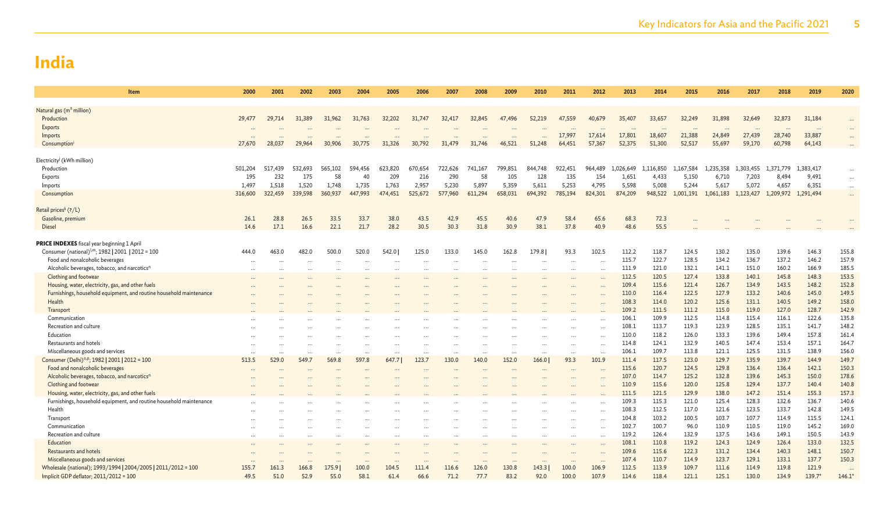| Item                                                                                                                | 2000         | 2001           | 2002           | 2003          | 2004          | 2005           | 2006           | 2007           | 2008          | 2009                 | 2010           | 2011           | 2012                              | 2013               | 2014           | 2015                     | 2016           | 2017           | 2018                | 2019           | 2020           |
|---------------------------------------------------------------------------------------------------------------------|--------------|----------------|----------------|---------------|---------------|----------------|----------------|----------------|---------------|----------------------|----------------|----------------|-----------------------------------|--------------------|----------------|--------------------------|----------------|----------------|---------------------|----------------|----------------|
|                                                                                                                     |              |                |                |               |               |                |                |                |               |                      |                |                |                                   |                    |                |                          |                |                |                     |                |                |
| Natural gas (m <sup>3</sup> million)<br>Production                                                                  | 29,477       | 29,714         | 31,389         | 31,962        | 31,763        | 32,202         | 31,747         | 32,417         | 32,845        | 47,496               | 52,219         | 47,559         | 40,679                            | 35,407             | 33,657         | 32,249                   | 31,898         | 32,649         | 32,873              | 31,184         |                |
| Exports                                                                                                             |              |                |                |               |               |                |                |                |               |                      |                |                |                                   |                    |                | $\overline{\phantom{a}}$ |                | $\cdots$       |                     | $\cdots$       |                |
| Imports                                                                                                             |              |                |                |               |               |                |                |                |               |                      |                | 17,997         | 17,614                            | 17,801             | 18,607         | 21,388                   | 24,849         | 27,439         | 28,740              | 33,887         | $\cdots$       |
| Consumption <sup>1</sup>                                                                                            | 27,670       | 28,037         | 29,964         | 30,906        | 30,775        | 31,326         | 30,792         | 31,479         | 31,746        | 46,521               | 51,248         | 64,451         | 57,367                            | 52,375             | 51,300         | 52,517                   | 55,697         | 59,170         | 60,798              | 64,143         |                |
|                                                                                                                     |              |                |                |               |               |                |                |                |               |                      |                |                |                                   |                    |                |                          |                |                |                     |                |                |
| Electricity <sup>j</sup> (kWh million)                                                                              |              |                |                |               |               |                |                |                |               |                      |                |                |                                   |                    |                |                          |                |                |                     |                |                |
| Production                                                                                                          | 501,204      | 517,439<br>232 | 532,693<br>175 | 565,102<br>58 | 594,456<br>40 | 623,820<br>209 | 670,654<br>216 | 722,626<br>290 | 741,167<br>58 | 799,851              | 844,748<br>128 | 922,451<br>135 | 964,489<br>154                    | 1,026,649<br>1,651 | 1,116,850      | 1,167,584                | 1,235,358      | 1,303,455      | 1.371.779           | 1,383,417      | $\cdots$       |
| Exports<br>Imports                                                                                                  | 195<br>1,497 | 1,518          | 1,520          | 1,748         | 1,735         | 1,763          | 2,957          | 5,230          | 5,897         | 105<br>5,359         | 5,611          | 5,253          | 4,795                             | 5,598              | 4,433<br>5,008 | 5,150<br>5,244           | 6,710<br>5,617 | 7,203<br>5,072 | 8,494<br>4,657      | 9,491<br>6,351 | $\cdots$       |
| Consumption                                                                                                         | 316,600      | 322,459        | 339,598        | 360,937       | 447,993       | 474,451        | 525,672        | 577,960        | 611,294       | 658,031              | 694,392        | 785,194        | 824,301                           | 874,209            | 948,522        | 1,001,191                | 1,061,183      | 1,123,427      | 1,209,972 1,291,494 |                | $\cdots$<br>   |
|                                                                                                                     |              |                |                |               |               |                |                |                |               |                      |                |                |                                   |                    |                |                          |                |                |                     |                |                |
| Retail prices <sup>k</sup> (₹/L)                                                                                    |              |                |                |               |               |                |                |                |               |                      |                |                |                                   |                    |                |                          |                |                |                     |                |                |
| Gasoline, premium                                                                                                   | 26.1         | 28.8           | 26.5           | 33.5          | 33.7          | 38.0           | 43.5           | 42.9           | 45.5          | 40.6                 | 47.9           | 58.4           | 65.6                              | 68.3               | 72.3           |                          |                |                |                     |                |                |
| <b>Diesel</b>                                                                                                       | 14.6         | 17.1           | 16.6           | 22.1          | 21.7          | 28.2           | 30.5           | 30.3           | 31.8          | 30.9                 | 38.1           | 37.8           | 40.9                              | 48.6               | 55.5           |                          |                |                |                     |                |                |
|                                                                                                                     |              |                |                |               |               |                |                |                |               |                      |                |                |                                   |                    |                |                          |                |                |                     |                |                |
| <b>PRICE INDEXES</b> fiscal year beginning 1 April<br>Consumer (national) <sup>I,m</sup> ; 1982   2001   2012 = 100 | 444.0        | 463.0          | 482.0          | 500.0         | 520.0         | 542.0          | 125.0          | 133.0          | 145.0         | 162.8                | 179.8          | 93.3           | 102.5                             | 112.2              | 118.7          | 124.5                    | 130.2          | 135.0          | 139.6               | 146.3          | 155.8          |
| Food and nonalcoholic beverages                                                                                     |              |                |                | $\ddotsc$     |               | $\cdots$       | $\ddotsc$      | $\ddotsc$      |               | $\ddot{\phantom{a}}$ | $\cdots$       | $\cdots$       | $\ddot{\phantom{a}}$              | 115.7              | 122.7          | 128.5                    | 134.2          | 136.7          | 137.2               | 146.2          | 157.9          |
| Alcoholic beverages, tobacco, and narcotics <sup>n</sup>                                                            | $\ddotsc$    |                |                |               |               |                |                |                |               |                      |                |                | $\ddotsc$                         | 111.9              | 121.0          | 132.1                    | 141.1          | 151.0          | 160.2               | 166.9          | 185.5          |
| Clothing and footwear                                                                                               |              |                |                |               |               |                |                |                |               |                      |                |                |                                   | 112.5              | 120.5          | 127.4                    | 133.8          | 140.1          | 145.8               | 148.3          | 153.5          |
| Housing, water, electricity, gas, and other fuels                                                                   |              |                |                |               |               |                |                |                |               |                      |                |                | $\ddotsc$                         | 109.4              | 115.6          | 121.4                    | 126.7          | 134.9          | 143.5               | 148.2          | 152.8          |
| Furnishings, household equipment, and routine household maintenance                                                 |              |                |                |               |               |                |                |                |               |                      |                |                | $\ddotsc$                         | 110.0              | 116.4          | 122.5                    | 127.9          | 133.2          | 140.6               | 145.0          | 149.5          |
| Health                                                                                                              |              |                |                |               |               |                |                |                |               |                      |                |                |                                   | 108.3              | 114.0          | 120.2                    | 125.6          | 131.1          | 140.5               | 149.2          | 158.0          |
| Transport                                                                                                           |              |                |                |               |               |                |                |                |               |                      |                |                |                                   | 109.2              | 111.5          | 111.2                    | 115.0          | 119.0          | 127.0               | 128.7          | 142.9          |
| Communication                                                                                                       |              |                |                |               |               |                |                |                |               |                      |                |                |                                   | 106.1              | 109.9          | 112.5                    | 114.8          | 115.4          | 116.1               | 122.6          | 135.8          |
| Recreation and culture                                                                                              |              |                |                |               |               |                |                |                |               |                      |                |                |                                   | 108.1              | 113.7          | 119.3                    | 123.9          | 128.5          | 135.1               | 141.7          | 148.2          |
| Education<br>Restaurants and hotels                                                                                 |              |                |                |               |               |                |                |                |               |                      |                |                |                                   | 110.0<br>114.8     | 118.2<br>124.1 | 126.0<br>132.9           | 133.3<br>140.5 | 139.6<br>147.4 | 149.4<br>153.4      | 157.8<br>157.1 | 161.4<br>164.7 |
| Miscellaneous goods and services                                                                                    |              |                |                |               | $\cdots$      | $\cdots$       |                | $\ddots$       | $\cdots$      |                      | $\cdots$       | $\cdots$       | $\ddot{\phantom{a}}$<br>$\ddotsc$ | 106.1              | 109.7          | 113.8                    | 121.1          | 125.5          | 131.5               | 138.9          | 156.0          |
| Consumer (Delhi) <sup>o,p</sup> ; 1982   2001   2012 = 100                                                          | 513.5        | 529.0          | 549.7          | 569.8         | 597.8         | 647.7          | 123.7          | 130.0          | 140.0         | 152.0                | 166.0          | 93.3           | 101.9                             | 111.4              | 117.5          | 123.0                    | 129.7          | 135.9          | 139.7               | 144.9          | 149.7          |
| Food and nonalcoholic beverages                                                                                     |              |                |                |               |               |                |                |                |               |                      | $\cdots$       |                |                                   | 115.6              | 120.7          | 124.5                    | 129.8          | 136.4          | 136.4               | 142.1          | 150.3          |
| Alcoholic beverages, tobacco, and narcotics <sup>n</sup>                                                            |              |                |                |               |               |                |                |                |               |                      |                |                |                                   | 107.0              | 114.7          | 125.2                    | 132.8          | 139.6          | 145.3               | 150.0          | 178.6          |
| Clothing and footwear                                                                                               |              |                |                |               |               |                |                |                |               |                      |                |                |                                   | 110.9              | 115.6          | 120.0                    | 125.8          | 129.4          | 137.7               | 140.4          | 140.8          |
| Housing, water, electricity, gas, and other fuels                                                                   |              |                |                |               |               |                |                |                |               |                      |                |                |                                   | 111.5              | 121.5          | 129.9                    | 138.0          | 147.2          | 151.4               | 155.3          | 157.3          |
| Furnishings, household equipment, and routine household maintenance                                                 |              |                |                |               |               |                |                |                |               |                      |                |                |                                   | 109.3              | 115.3          | 121.0                    | 125.4          | 128.3          | 132.6               | 136.7          | 140.6          |
| Health                                                                                                              |              |                |                |               |               |                |                |                |               |                      |                |                | $\ddotsc$                         | 108.3              | 112.5          | 117.0                    | 121.6          | 123.5          | 133.7               | 142.8          | 149.5          |
| Transport<br>Communication                                                                                          |              |                |                |               |               |                |                |                |               |                      |                |                |                                   | 104.8<br>102.7     | 103.2<br>100.7 | 100.5<br>96.0            | 103.7<br>110.9 | 107.7<br>110.5 | 114.9<br>119.0      | 115.5<br>145.2 | 124.1<br>169.0 |
| Recreation and culture                                                                                              |              |                |                |               |               |                |                |                |               |                      |                |                | $\ddot{\phantom{a}}$              | 119.2              | 126.4          | 132.9                    | 137.5          | 143.6          | 149.1               | 150.5          | 143.9          |
| Education                                                                                                           |              |                |                |               |               |                |                |                |               |                      |                |                | $\ddotsc$                         | 108.1              | 110.8          | 119.2                    | 124.3          | 124.9          | 126.4               | 133.0          | 132.5          |
| Restaurants and hotels                                                                                              |              |                |                |               |               |                |                |                |               |                      |                |                | $\ddotsc$                         | 109.6              | 115.6          | 122.3                    | 131.2          | 134.4          | 140.3               | 148.1          | 150.7          |
| Miscellaneous goods and services                                                                                    |              |                |                |               |               |                |                |                |               |                      |                |                | $\cdots$                          | 107.4              | 110.7          | 114.9                    | 123.7          | 129.1          | 133.1               | 137.7          | 150.3          |
| Wholesale (national); 1993/1994   2004/2005   2011/2012 = 100                                                       | 155.7        | 161.3          | 166.8          | 175.9         | 100.0         | 104.5          | 111.4          | 116.6          | 126.0         | 130.8                | 143.3          | 100.0          | 106.9                             | 112.5              | 113.9          | 109.7                    | 111.6          | 114.9          | 119.8               | 121.9          | $\cdots$       |
| Implicit GDP deflator; 2011/2012 = 100                                                                              | 49.5         | 51.0           | 52.9           | 55.0          | 58.1          | 61.4           | 66.6           | 71.2           | 77.7          | 83.2                 | 92.0           | 100.0          | 107.9                             | 114.6              | 118.4          | 121.1                    | 125.1          | 130.0          | 134.9               | $139.7*$       | $146.1*$       |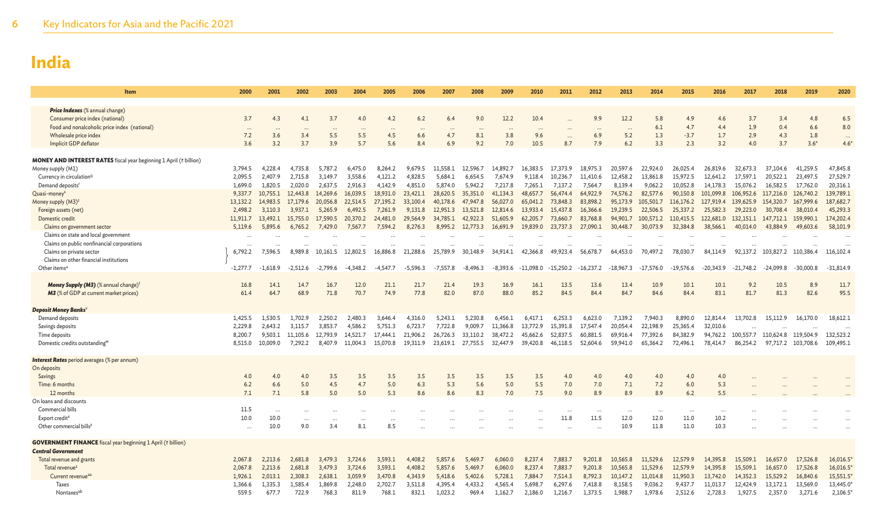| Item                                                                                           | 2000               | 2001               | 2002               | 2003               | 2004               | 2005               | 2006               | 2007               | 2008               | 2009               | 2010               | 2011               | 2012               | 2013                     | 2014                 | 2015                 | 2016                 | 2017                 | 2018                 | 2019                 | 2020                 |
|------------------------------------------------------------------------------------------------|--------------------|--------------------|--------------------|--------------------|--------------------|--------------------|--------------------|--------------------|--------------------|--------------------|--------------------|--------------------|--------------------|--------------------------|----------------------|----------------------|----------------------|----------------------|----------------------|----------------------|----------------------|
|                                                                                                |                    |                    |                    |                    |                    |                    |                    |                    |                    |                    |                    |                    |                    |                          |                      |                      |                      |                      |                      |                      |                      |
| <b>Price Indexes</b> (% annual change)<br>Consumer price index (national)                      | 3.7                | 4.3                | 4.1                | 3.7                | 4.0                | 4.2                | 6.2                | 6.4                | 9.0                | 12.2               | 10.4               |                    | 9.9                | 12.2                     | 5.8                  | 4.9                  | 4.6                  | 3.7                  | 3.4                  | 4.8                  | 6.5                  |
| Food and nonalcoholic price index (national)                                                   | $\cdots$           | $\ddotsc$          |                    | $\cdots$           |                    |                    |                    |                    |                    |                    | $\ddotsc$          |                    | $\cdots$           | $\overline{\phantom{a}}$ | 6.1                  | 4.7                  | 4.4                  | 1.9                  | 0.4                  | 6.6                  | 8.0                  |
| Wholesale price index                                                                          | 7.2                | 3.6                | 3.4                | 5.5                | 5.5                | 4.5                | 6.6                | 4.7                | 8.1                | 3.8                | 9.6                | $\cdots$           | 6.9                | 5.2                      | 1.3                  | $-3.7$               | 1.7                  | 2.9                  | 4.3                  | 1.8                  | $\cdots$             |
| Implicit GDP deflator                                                                          | 3.6                | 3.2                | 3.7                | 3.9                | 5.7                | 5.6                | 8.4                | 6.9                | 9.2                | 7.0                | 10.5               | 8.7                | 7.9                | 6.2                      | 3.3                  | 2.3                  | 3.2                  | 4.0                  | 3.7                  | $3.6*$               | $4.6*$               |
|                                                                                                |                    |                    |                    |                    |                    |                    |                    |                    |                    |                    |                    |                    |                    |                          |                      |                      |                      |                      |                      |                      |                      |
| <b>MONEY AND INTEREST RATES</b> fiscal year beginning 1 April (₹ billion)<br>Money supply (M1) | 3,794.5            | 4.228.4            | 4.735.8            | 5,787.2            | 6,475.0            | 8,264.2            | 9.679.5            | 11,558.1           | 12,596.7           | 14,892.7           | 16,383.5           | 17.373.9           | 18,975.3           | 20,597.6                 | 22,924.0             | 26,025.4             | 26,819.6             | 32,673.3             | 37,104.6             | 41,259.5             | 47,845.8             |
| Currency in circulation <sup>q</sup>                                                           | 2,095.5            | 2,407.9            | 2,715.8            | 3,149.7            | 3,558.6            | 4,121.2            | 4,828.5            | 5,684.1            | 6,654.5            | 7,674.9            | 9,118.4            | 10,236.7           | 11,410.6           | 12,458.2                 | 13,861.8             | 15,972.5             | 12,641.2             | 17,597.1             | 20,522.1             | 23,497.5             | 27,529.7             |
| Demand deposits <sup>t</sup>                                                                   | 1,699.0            | 1.820.5            | 2,020.0            | 2.637.5            | 2,916.3            | 4,142.9            | 4,851.0            | 5,874.0            | 5,942.2            | 7.217.8            | 7,265.1            | 7,137.2            | 7.564.7            | 8.139.4                  | 9,062.2              | 10,052.8             | 14,178.3             | 15,076.2             | 16,582.5             | 17,762.0             | 20,316.1             |
| Quasi-money <sup>s</sup>                                                                       | 9,337.7            | 10,755.1           | 12,443.8           | 14,269.6           | 16,039.5           | 18,931.0           | 23,421.1           | 28,620.5           | 35,351.0           | 41,134.3           | 48,657.7           | 56,474.4           | 64,922.9           | 74,576.2                 | 82,577.6             | 90,150.8             | 101,099.8            | 106,952.6            | 117,216.0            | 126,740.2            | 139,789.1            |
| Money supply (M3) <sup>1</sup>                                                                 | 13,132.2           | 14,983.5           | 17,179.6           | 20,056.8           | 22,514.5           | 27,195.2           | 33,100.4           | 40,178.6           | 47,947.8           | 56,027.0           | 65,041.2           | 73,848.3           | 83,898.2           | 95,173.9                 | 105,501.7            | 116, 176. 2          | 127,919.4            | 139,625.9            | 154,320.7            | 167,999.6            | 187,682.7            |
| Foreign assets (net)                                                                           | 2,498.2            | 3,110.3            | 3,937.1            | 5,265.9            | 6,492.5            | 7,261.9            | 9,131.8            | 12,951.3           | 13,521.8           | 12,814.6           | 13,933.4           | 15,437.8           | 16,366.6           | 19,239.5                 | 22,506.5             | 25,337.2             | 25,582.3             | 29,223.0             | 30,708.4             | 38,010.4             | 45,293.3             |
| Domestic credit                                                                                | 11,911.7           | 13,492.1           | 15,755.0           | 17,590.5           | 20,370.2           | 24,481.0           | 29,564.9           | 34,785.1           | 42,922.3           | 51,605.9           | 62,205.7           | 73,660.7           | 83,768.8           | 94,901.7                 | 100,571.2            | 110,415.5            | 122,681.0            | 132,151.1            | 147,712.1            | 159,990.1            | 174,202.4            |
| Claims on government sector                                                                    | 5.119.6            | 5,895.6            | 6.765.2            | 7.429.0            | 7.567.7            | 7.594.2            | 8.276.3            | 8.995.2            | 12,773.3           | 16,691.9           | 19,839.0           | 23.737.3           | 27,090.1           | 30,448.7                 | 30,073.9             | 32,384.8             | 38,566.1             | 40,014.0             | 43,884.9             | 49,603.6             | 58,101.9             |
| Claims on state and local government<br>Claims on public nonfinancial corporations             | $\ddots$           |                    |                    |                    |                    |                    |                    |                    |                    |                    |                    |                    |                    |                          |                      | $\cdots$             |                      |                      |                      |                      |                      |
| Claims on private sector                                                                       | 6,792.2            | 7,596.5            | 8,989.8            | 10,161.5           | 12,802.5           | 16,886.8           | 21,288.6           | 25,789.9           | 30,148.9           | 34,914.1           | 42,366.8           | 49,923.4           | 56,678.7           | 64,453.0                 | 70,497.2             | 78,030.7             | 84,114.9             | 92,137.2             | 103,827.2            | 110.386.4            | 116,102.4            |
| Claims on other financial institutions                                                         |                    |                    |                    |                    |                    |                    |                    |                    |                    |                    |                    |                    |                    |                          |                      |                      |                      |                      |                      |                      |                      |
| Other items <sup>t</sup>                                                                       | $-1,277.7$         | $-1,618.9$         | $-2,512.6$         | $-2,799.6$         | $-4,348.2$         | $-4,547.7$         | $-5,596.3$         | $-7,557.8$         | $-8,496.3$         | $-8,393.6$         | $-11,098.0$        | $-15,250.2$        | $-16,237.2$        | $-18,967.3$              | $-17,576.0$          | $-19,576.6$          | $-20,343.9$          | $-21,748.2$          | $-24,099.8$          | $-30,000.8$          | $-31,814.9$          |
|                                                                                                |                    |                    |                    |                    |                    |                    |                    |                    |                    |                    |                    |                    |                    |                          |                      |                      |                      |                      |                      |                      |                      |
| Money Supply (M3) (% annual change) <sup>t</sup>                                               | 16.8               | 14.1<br>64.7       | 14.7               | 16.7               | 12.0<br>70.7       | 21.1               | 21.7<br>77.8       | 21.4               | 19.3               | 16.9<br>88.0       | 16.1               | 13.5<br>84.5       | 13.6<br>84.4       | 13.4                     | 10.9                 | 10.1<br>84.4         | 10.1                 | 9.2                  | 10.5                 | 8.9                  | 11.7<br>95.5         |
| M3 (% of GDP at current market prices)                                                         | 61.4               |                    | 68.9               | 71.8               |                    | 74.9               |                    | 82.0               | 87.0               |                    | 85.2               |                    |                    | 84.7                     | 84.6                 |                      | 83.1                 | 81.7                 | 81.3                 | 82.6                 |                      |
| Deposit Money Banks                                                                            |                    |                    |                    |                    |                    |                    |                    |                    |                    |                    |                    |                    |                    |                          |                      |                      |                      |                      |                      |                      |                      |
| Demand deposits                                                                                | 1,425.5            | 1.530.5            | 1,702.9            | 2.250.2            | 2,480.3            | 3,646.4            | 4,316.0            | 5,243.1            | 5,230.8            | 6,456.1            | 6,417.1            | 6,253.3            | 6,623.0            | 7,139.2                  | 7,940.3              | 8,890.0              | 12,814.4             | 13,702.8             | 15,112.9             | 16,170.0             | 18,612.1             |
| Savings deposits                                                                               | 2,229.8            | 2.643.2            | 3,115.7            | 3,853.7            | 4,586.2            | 5,751.3            | 6,723.7            | 7,722.8            | 9,009.7            | 11,366.8           | 13,772.9           | 15,391.8           | 17,547.4           | 20,054.4                 | 22,198.9             | 25,365.4             | 32,010.6             |                      |                      |                      |                      |
| Time deposits                                                                                  | 8,200.7            | 9,503.1            | 11,105.6           | 12,793.9           | 14,521.7           | 17,444.1           | 21,906.2           | 26,726.3           | 33,110.2           | 38,472.2           | 45,662.6           | 52,837.5           | 60,881.5           | 69,916.4                 | 77,392.6             | 84,382.9             | 94,762.2             | 100,557.7            | 110,624.8            | 119,504.9            | 132,523.2            |
| Domestic credits outstanding <sup>w</sup>                                                      | 8.515.0            | 10,009.0           | 7,292.2            | 8,407.9            | 11,004.3           | 15,070.8           | 19,311.9           | 23,619.1           | 27,755.5           | 32,447.9           | 39,420.8           | 46,118.5           | 52,604.6           | 59,941.0                 | 65,364.2             | 72,496.1             | 78,414.7             | 86,254.2             |                      | 97,717.2 103,708.6   | 109,495.1            |
| <b>Interest Rates</b> period averages (% per annum)                                            |                    |                    |                    |                    |                    |                    |                    |                    |                    |                    |                    |                    |                    |                          |                      |                      |                      |                      |                      |                      |                      |
| On deposits                                                                                    |                    |                    |                    |                    |                    |                    |                    |                    |                    |                    |                    |                    |                    |                          |                      |                      |                      |                      |                      |                      |                      |
| Savings                                                                                        | 4.0                | 4.0                | 4.0                | 3.5                | 3.5                | 3.5                | 3.5                | 3.5                | 3.5                | 3.5                | 3.5                | 4.0                | 4.0                | 4.0                      | 4.0                  | 4.0                  | 4.0                  |                      |                      |                      |                      |
| Time: 6 months                                                                                 | 6.2                | 6.6                | 5.0                | 4.5                | 4.7                | 5.0                | 6.3                | 5.3                | 5.6                | 5.0                | 5.5                | 7.0                | 7.0                | 7.1                      | 7.2                  | 6.0                  | 5.3                  |                      |                      |                      |                      |
| 12 months                                                                                      | 7.1                | 7.1                | 5.8                | 5.0                | 5.0                | 5.3                | 8.6                | 8.6                | 8.3                | 7.0                | 7.5                | 9.0                | 8.9                | 8.9                      | 8.9                  | 6.2                  | 5.5                  |                      |                      |                      |                      |
| On loans and discounts                                                                         |                    |                    |                    |                    |                    |                    |                    |                    |                    |                    |                    |                    |                    |                          |                      |                      |                      |                      |                      |                      |                      |
| Commercial bills<br>Export credit <sup>x</sup>                                                 | 11.5<br>10.0       | $\cdots$<br>10.0   | $\cdots$           |                    |                    |                    |                    |                    |                    |                    |                    | $\cdots$<br>11.8   | $\cdots$<br>11.5   | $\cdots$<br>12.0         | $\cdots$<br>12.0     | $\cdots$<br>11.0     | 10.2                 |                      |                      |                      |                      |
| Other commercial bills <sup>y</sup>                                                            |                    | 10.0               | $\cdots$<br>9.0    | 3.4                | 8.1                | $\ddotsc$<br>8.5   |                    |                    |                    |                    |                    |                    |                    | 10.9                     | 11.8                 | 11.0                 | 10.3                 |                      |                      |                      |                      |
|                                                                                                |                    |                    |                    |                    |                    |                    |                    |                    |                    |                    |                    |                    |                    |                          |                      |                      |                      |                      |                      |                      |                      |
| <b>GOVERNMENT FINANCE</b> fiscal year beginning 1 April (₹ billion)                            |                    |                    |                    |                    |                    |                    |                    |                    |                    |                    |                    |                    |                    |                          |                      |                      |                      |                      |                      |                      |                      |
| <b>Central Government</b>                                                                      |                    |                    |                    |                    |                    |                    |                    |                    |                    |                    |                    |                    |                    |                          |                      |                      |                      |                      |                      |                      |                      |
| Total revenue and grants                                                                       | 2,067.8            | 2,213.6            | 2,681.8            | 3,479.3            | 3,724.6            | 3,593.1            | 4,408.2            | 5,857.6            | 5,469.7            | 6,060.0            | 8,237.4            | 7,883.7            | 9,201.8            | 10,565.8                 | 11,529.6             | 12,579.9             | 14,395.8             | 15,509.1             | 16,657.0             | 17,526.8             | 16,016.5             |
| Total revenue <sup>z</sup><br>Current revenue <sup>aa</sup>                                    | 2,067.8<br>1.926.1 | 2,213.6<br>2.013.1 | 2,681.8<br>2.308.3 | 3,479.3<br>2.638.1 | 3,724.6<br>3.059.9 | 3,593.1<br>3.470.8 | 4,408.2<br>4.343.9 | 5,857.6<br>5,418.6 | 5,469.7<br>5,402.6 | 6,060.0<br>5.728.1 | 8,237.4<br>7,884.7 | 7,883.7<br>7.514.3 | 9,201.8<br>8.792.3 | 10,565.8<br>10.147.2     | 11,529.6<br>11,014.8 | 12,579.9<br>11,950.3 | 14,395.8<br>13,742.0 | 15,509.1<br>14,352.3 | 16,657.0<br>15,529.2 | 17,526.8<br>16,840.6 | 16,016.5<br>15,551.5 |
| <b>Taxes</b>                                                                                   | 1.366.6            | 1.335.3            | 1.585.4            | 1,869.8            | 2.248.0            | 2,702.7            | 3,511.8            | 4.395.4            | 4,433.2            | 4.565.4            | 5.698.7            | 6.297.6            | 7,418.8            | 8.158.5                  | 9,036.2              | 9,437.7              | 11,013.7             | 12,424.9             | 13,172.1             | 13,569.0             | 13,445.0             |
| Nontaxes <sup>ab</sup>                                                                         | 559.5              | 677.7              | 722.9              | 768.3              | 811.9              | 768.1              | 832.1              | 1.023.2            | 969.4              | 1,162.7            | 2,186.0            | 1,216.7            | 1,373.5            | 1.988.7                  | 1,978.6              | 2,512.6              | 2,728.3              | 1,927.5              | 2,357.0              | 3,271.6              | 2,106.5              |
|                                                                                                |                    |                    |                    |                    |                    |                    |                    |                    |                    |                    |                    |                    |                    |                          |                      |                      |                      |                      |                      |                      |                      |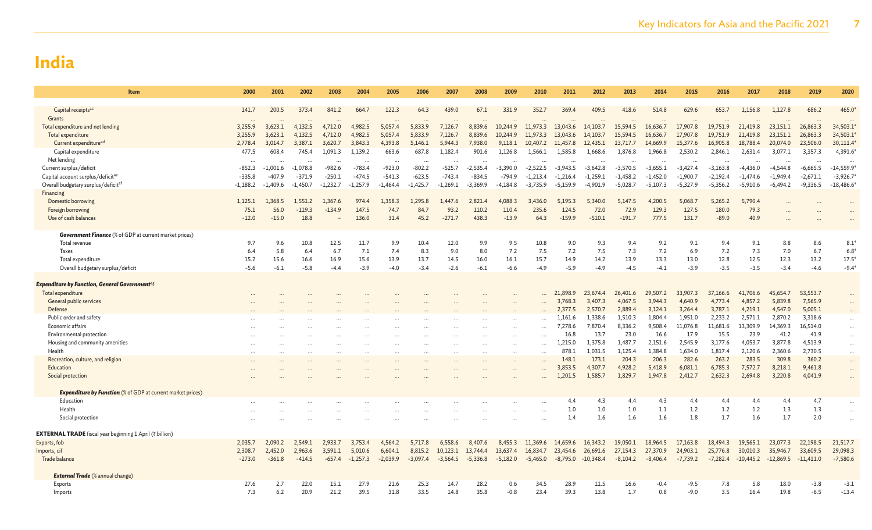| Item                                                               | 2000        | 2001       | 2002       | 2003           | 2004         | 2005       | 2006                 | 2007       | 2008       | 2009                 | 2010         | 2011            | 2012                 | 2013            | 2014               | 2015             | 2016               | 2017               | 2018               | 2019               | 2020                 |
|--------------------------------------------------------------------|-------------|------------|------------|----------------|--------------|------------|----------------------|------------|------------|----------------------|--------------|-----------------|----------------------|-----------------|--------------------|------------------|--------------------|--------------------|--------------------|--------------------|----------------------|
|                                                                    |             |            |            |                |              |            |                      |            |            |                      |              |                 |                      |                 |                    |                  |                    |                    |                    |                    |                      |
| Capital receipts <sup>ac</sup>                                     | 141.7       | 200.5      | 373.4      | 841.2          | 664.7        | 122.3      | 64.3                 | 439.0      | 67.1       | 331.9                | 352.7        | 369.4           | 409.5                | 418.6           | 514.8              | 629.6            | 653.7              | 1,156.8            | 1,127.8            | 686.2              | 465.0                |
| Grants<br>Total expenditure and net lending                        | 3,255.9     | 3,623.1    | 4,132.5    | 4,712.0        | 4,982.5      | 5,057.4    | 5,833.9              | 7,126.7    | 8,839.6    | 10,244.9             | 11,973.3     | 13,043.6        | 14,103.7             | 15,594.5        | 16,636.7           | 17,907.8         | 19,751.9           | 21,419.8           | 23,151.1           | 26,863.3           | 34,503.1             |
| Total expenditure                                                  | 3,255.9     | 3,623.1    | 4,132.5    | 4,712.0        | 4,982.5      | 5,057.4    | 5,833.9              | 7,126.7    | 8,839.6    | 10,244.9             | 11,973.3     | 13,043.6        | 14,103.7             | 15,594.5        | 16,636.7           | 17,907.8         | 19,751.9           | 21,419.8           | 23,151.1           | 26,863.3           | 34,503.1             |
| Current expenditure <sup>ad</sup>                                  | 2,778.4     | 3.014.7    | 3,387.1    | 3,620.7        | 3,843.3      | 4,393.8    | 5,146.1              | 5.944.3    | 7,938.0    | 9,118.1              | 10,407.2     | 11,457.8        | 12,435.1             | 13,717.7        | 14,669.9           | 15,377.6         | 16,905.8           | 18,788.4           | 20,074.0           | 23,506.0           | 30,111.4             |
| Capital expenditure                                                | 477.5       | 608.4      | 745.4      | 1,091.3        | 1,139.2      | 663.6      | 687.8                | 1,182.4    | 901.6      | 1,126.8              | 1,566.1      | 1,585.8         | 1,668.6              | 1,876.8         | 1,966.8            | 2,530.2          | 2,846.1            | 2,631.4            | 3,077.1            | 3,357.3            | 4,391.6*             |
| Net lending                                                        | $\ddotsc$   |            | $\ddotsc$  | $\ddotsc$      | $\cdots$     |            | $\ddotsc$            |            |            | $\ddot{\phantom{a}}$ |              |                 | $\ddot{\phantom{a}}$ |                 |                    |                  |                    |                    |                    |                    |                      |
| Current surplus/deficit                                            | $-852.3$    | $-1,001.6$ | $-1,078.8$ | $-982.6$       | $-783.4$     | $-923.0$   | $-802.2$             | $-525.7$   | $-2,535.4$ | $-3,390.0$           | $-2,522.5$   | $-3,943.5$      | $-3,642.8$           | $-3,570.5$      | $-3,655.1$         | $-3,427.4$       | $-3,163.8$         | $-4,436.0$         | $-4,544.8$         | $-6,665.5$         | $-14,559.9$          |
| Capital account surplus/deficitae                                  | $-335.8$    | $-407.9$   | $-371.9$   | $-250.1$       | $-474.5$     | $-541.3$   | $-623.5$             | $-743.4$   | $-834.5$   | $-794.9$             | $-1,213.4$   | $-1,216.4$      | $-1,259.1$           | $-1,458.2$      | $-1,452.0$         | $-1,900.7$       | $-2,192.4$         | $-1,474.6$         | $-1,949.4$         | $-2,671.1$         | $-3,926.7$           |
| Overall budgetary surplus/deficitat                                | $-1,188.2$  | $-1.409.6$ | $-1.450.7$ | $-1,232.7$     | $-1,257.9$   | $-1.464.4$ | $-1,425.7$           | $-1,269.1$ | $-3,369.9$ | -4.184.8             | $-3,735.9$   | $-5,159.9$      | $-4.901.9$           | $-5,028.7$      | $-5,107.3$         | $-5,327.9$       | $-5,356.2$         | $-5,910.6$         | $-6,494.2$         | $-9,336.5$         | $-18,486.6$          |
| Financing<br>Domestic borrowing                                    | 1,125.1     | 1.368.5    | 1,551.2    | 1.367.6        | 974.4        | 1,358.3    | 1.295.8              | 1,447.6    | 2,821.4    | 4.088.3              | 3,436.0      | 5,195.3         | 5,340.0              | 5,147.5         | 4,200.5            | 5,068.7          | 5,265.2            | 5,790.4            |                    |                    |                      |
| Foreign borrowing                                                  | 75.1        | 56.0       | $-119.3$   | $-134.9$       | 147.5        | 74.7       | 84.7                 | 93.2       | 110.2      | 110.4                | 235.6        | 124.5           | 72.0                 | 72.9            | 129.3              | 127.5            | 180.0              | 79.3               |                    |                    |                      |
| Use of cash balances                                               | $-12.0$     | $-15.0$    | 18.8       |                | 136.0        | 31.4       | 45.2                 | $-271.7$   | 438.3      | $-13.9$              | 64.3         | $-159.9$        | $-510.1$             | $-191.7$        | 777.5              | 131.7            | $-89.0$            | 40.9               |                    |                    |                      |
|                                                                    |             |            |            |                |              |            |                      |            |            |                      |              |                 |                      |                 |                    |                  |                    |                    |                    |                    |                      |
| <b>Government Finance</b> (% of GDP at current market prices)      |             |            |            |                |              |            |                      |            |            |                      |              |                 |                      |                 |                    |                  |                    |                    |                    |                    |                      |
| Total revenue                                                      | 9.7         | 9.6        | 10.8       | 12.5           | 11.7         | 9.9        | 10.4                 | 12.0       | 9.9        | 9.5                  | 10.8         | 9.0             | 9.3                  | 9.4             | 9.2                | 9.1              | 9.4                | 9.1                | 8.8                | 8.6                | $8.1*$               |
| Taxes                                                              | 6.4         | 5.8        | 6.4        | 6.7            | 7.1          | 7.4        | 8.3                  | 9.0        | 8.0        | 7.2                  | 7.5          | 7.2             | 7.5                  | 7.3             | 7.2                | 6.9              | 7.2                | 7.3                | 7.0                | 6.7                | $6.8*$               |
| Total expenditure                                                  | 15.2        | 15.6       | 16.6       | 16.9<br>$-4.4$ | 15.6         | 13.9       | 13.7                 | 14.5       | 16.0       | 16.1                 | 15.7         | 14.9            | 14.2<br>$-4.9$       | 13.9            | 13.3               | 13.0             | 12.8               | 12.5<br>$-3.5$     | 12.3               | 13.2               | $17.5^*$             |
| Overall budgetary surplus/deficit                                  | $-5.6$      | $-6.1$     | $-5.8$     |                | $-3.9$       | $-4.0$     | $-3.4$               | $-2.6$     | $-6.1$     | $-6.6$               | $-4.9$       | $-5.9$          |                      | $-4.5$          | $-4.1$             | $-3.9$           | $-3.5$             |                    | $-3.4$             | $-4.6$             | $-9.4*$              |
| <b>Expenditure by Function, General Government<sup>ag</sup></b>    |             |            |            |                |              |            |                      |            |            |                      |              |                 |                      |                 |                    |                  |                    |                    |                    |                    |                      |
| Total expenditure                                                  |             |            |            |                |              |            |                      |            |            |                      |              | 21,898.9        | 23,674.4             | 26,401.6        | 29,507.2           | 33,907.3         | 37,166.6           | 41,706.6           | 45,654.7           | 53,553.7           |                      |
| General public services                                            |             |            |            |                |              |            |                      |            |            |                      |              | 3,768.3         | 3,407.3              | 4,067.5         | 3,944.3            | 4,640.9          | 4,773.4            | 4,857.2            | 5,839.8            | 7,565.9            | $\cdots$             |
| Defense                                                            |             |            |            |                |              |            |                      |            |            |                      |              | 2,377.5         | 2,570.7              | 2,889.4         | 3,124.1            | 3,264.4          | 3,787.1            | 4,219.1            | 4,547.0            | 5,005.1            |                      |
| Public order and safety                                            |             |            |            |                |              |            |                      |            |            |                      | $\ddotsc$    | 1,161.6         | 1,338.6              | 1,510.3         | 1,804.4            | 1,951.0          | 2,233.2            | 2,571.1            | 2,870.2            | 3,318.6            | $\cdots$             |
| Economic affairs                                                   |             |            |            |                |              |            |                      |            |            |                      |              | 7,278.6         | 7,870.4              | 8,336.2         | 9,508.4            | 11,076.8         | 11,681.6           | 13,309.9           | 14,369.3           | 16,514.0           | $\cdots$             |
| Environmental protection                                           |             |            |            |                |              |            |                      |            |            |                      |              | 16.8<br>1.215.0 | 13.7<br>1.375.8      | 23.0<br>1,487.7 | 16.6               | 17.9<br>2,545.9  | 15.5               | 23.9               | 41.2               | 41.9               | $\cdots$             |
| Housing and community amenities<br>Health                          |             |            |            |                |              |            |                      |            |            |                      |              | 878.1           | 1,031.5              | 1,125.4         | 2,151.6<br>1,384.8 | 1,634.0          | 3,177.6<br>1,817.4 | 4,053.7<br>2,120.6 | 3,877.8<br>2,360.6 | 4,513.9<br>2,730.5 | $\cdots$             |
| Recreation, culture, and religion                                  | $\ddotsc$   |            | $\cdots$   | $\cdots$       | $\cdots$     | $\cdots$   | $\ddot{\phantom{a}}$ | $\cdots$   |            | $\cdots$             | $\cdots$     | 148.            | 173.1                | 204.3           | 206.3              | 282.6            | 263.2              | 283.5              | 309.8              | 360.2              | $\cdots$<br>$\cdots$ |
| Education                                                          |             |            |            |                |              |            |                      |            |            | $\sim$               |              | 3,853.5         | 4.307.7              | 4.928.2         | 5,418.9            | 6,081.1          | 6,785.3            | 7.572.7            | 8,218.1            | 9,461.8            | $\cdots$             |
| Social protection                                                  |             |            |            |                |              |            |                      |            |            |                      |              | 1,201.5         | 1,585.7              | 1,829.7         | 1,947.8            | 2,412.7          | 2,632.3            | 2,694.8            | 3,220.8            | 4,041.9            | $\cdots$             |
|                                                                    |             |            |            |                |              |            |                      |            |            |                      |              |                 |                      |                 |                    |                  |                    |                    |                    |                    |                      |
| <b>Expenditure by Function</b> (% of GDP at current market prices) |             |            |            |                |              |            |                      |            |            |                      |              |                 |                      |                 |                    |                  |                    |                    |                    |                    |                      |
| Education                                                          |             |            |            |                |              |            |                      |            |            |                      |              | 4.4             | 4.3                  | 4.4             | 4.3                | 4.4              | 4.4                | 4.4                | 4.4                | 4.7                |                      |
| Health                                                             |             |            |            |                |              |            |                      |            |            |                      |              | 1.0             | 1.0                  | 1.0<br>1.6      | 1.1<br>1.6         | 1.2              | 1.2                | 1.2                | 1.3                | 1.3                |                      |
| Social protection                                                  |             |            |            |                |              |            |                      |            |            |                      |              | 1.4             | 1.6                  |                 |                    | 1.8              | 1.7                | 1.6                | 1.7                | 2.0                | $\cdots$             |
| <b>EXTERNAL TRADE</b> fiscal year beginning 1 April (₹ billion)    |             |            |            |                |              |            |                      |            |            |                      |              |                 |                      |                 |                    |                  |                    |                    |                    |                    |                      |
| Exports, fob                                                       | 2,035.7     | 2,090.2    | 2,549.1    | 2,933.7        | 3,753.4      | 4,564.2    | 5,717.8              | 6,558.6    | 8,407.6    | 8,455.3              | 11,369.6     | 14,659.6        | 16,343.2             | 19,050.1        | 18,964.5           | 17,163.8         | 18,494.3           | 19,565.1           | 23,077.3           | 22,198.5           | 21,517.7             |
| Imports, cif                                                       | 2,308.7     | 2,452.0    | 2,963.6    | 3,591.1        | 5,010.6      | 6,604.1    | 8,815.2              | 10,123.1   | 13,744.4   | 13,637.4             | 16,834.7     | 23,454.6        | 26,691.6             | 27,154.3        | 27,370.9           | 24,903.1         | 25,776.8           | 30,010.3           | 35,946.7           | 33,609.5           | 29,098.3             |
| Trade balance                                                      | $-273.0$    | $-361.8$   | $-414.5$   | $-657.4$       | $-1,257.3$   | $-2,039.9$ | $-3,097.4$           | $-3,564.5$ | $-5,336.8$ | $-5,182.0$           | $-5,465.0$   | $-8,795.0$      | $-10,348.4$          | $-8,104.2$      | $-8,406.4$         | $-7,739.2$       | $-7,282.4$         | $-10,445.2$        | $-12,869.5$        | $-11,411.0$        | $-7,580.6$           |
|                                                                    |             |            |            |                |              |            |                      |            |            |                      |              |                 |                      |                 |                    |                  |                    |                    |                    |                    |                      |
| <b>External Trade</b> (% annual change)                            |             |            |            |                |              |            |                      |            |            |                      |              |                 |                      |                 |                    |                  |                    |                    |                    |                    |                      |
| Exports                                                            | 27.6<br>7.3 | 2.7<br>6.2 | 22.0       | 15.1<br>21.2   | 27.9<br>39.5 | 21.6       | 25.3<br>33.5         | 14.7       | 28.2       | 0.6                  | 34.5<br>23.4 | 28.9            | 11.5<br>13.8         | 16.6<br>1.7     | $-0.4$             | $-9.5$<br>$-9.0$ | 7.8<br>3.5         | 5.8                | 18.0<br>19.8       | $-3.8$             | $-3.1$<br>$-13.4$    |
| Imports                                                            |             |            | 20.9       |                |              | 31.8       |                      | 14.8       | 35.8       | $-0.8$               |              | 39.3            |                      |                 | 0.8                |                  |                    | 16.4               |                    | $-6.5$             |                      |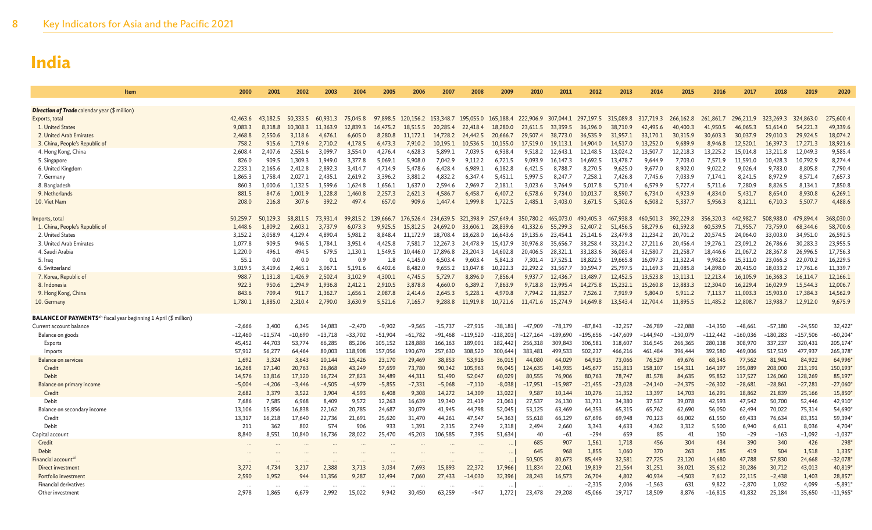| Item                                                                                | 2000      | 2001      | 2002      | 2003      | 2004      | 2005      | 2006      | 2007                             | 2008       | 2009       | 2010       | 2011      | 2012                          | 2013       | 2014       | 2015       | 2016       | 2017       | 2018       | 2019       | 2020       |
|-------------------------------------------------------------------------------------|-----------|-----------|-----------|-----------|-----------|-----------|-----------|----------------------------------|------------|------------|------------|-----------|-------------------------------|------------|------------|------------|------------|------------|------------|------------|------------|
|                                                                                     |           |           |           |           |           |           |           |                                  |            |            |            |           |                               |            |            |            |            |            |            |            |            |
| Direction of Trade calendar year (\$ million)                                       |           |           |           |           |           |           |           |                                  |            |            |            |           |                               |            |            |            |            |            |            |            |            |
| Exports, total                                                                      | 42,463.6  | 43,182.5  | 50,333.5  | 60.931.3  | 75,045.8  | 97,898.5  |           | 120, 156.2 153, 348.7 195, 055.0 |            | 165,188.4  |            |           | 222,906.9 307,044.1 297,197.5 | 315,089.8  | 317,719.3  | 266, 162.8 | 261,861.7  | 296,211.9  | 323,269.3  | 324,863.0  | 275,600.   |
| 1. United States                                                                    | 9,083.3   | 8,318.8   | 10,308.3  | 11,363.9  | 12,839.3  | 16,475.2  | 18,515.5  | 20,285.4                         | 22,418.4   | 18,280.0   | 23,611.5   | 33,359.5  | 36,196.0                      | 38,710.9   | 42,495.6   | 40,400.3   | 41,950.5   | 46,065.3   | 51,614.0   | 54,221.3   | 49,339.6   |
| 2. United Arab Emirates                                                             | 2,468.8   | 2,550.6   | 3,118.6   | 4,676.1   | 6,605.0   | 8,280.8   | 11,172.1  | 14,728.2                         | 24,442.5   | 20,666.7   | 29,507.4   | 38,773.0  | 36,535.9                      | 31,957.1   | 33,170.1   | 30,315.9   | 30,603.3   | 30,037.9   | 29,010.3   | 29,924.5   | 18,074.2   |
| 3. China, People's Republic of                                                      | 758.2     | 915.6     | 1.719.6   | 2,710.2   | 4.178.5   | 6,473.3   | 7,910.2   | 10,195.1                         | 10,536.5   | 10.155.0   | 17,519.0   | 19,113.1  | 14,904.0                      | 14,517.0   | 13,252.0   | 9,689.9    | 8,946.8    | 12,520.1   | 16,397.3   | 17,271.3   | 18,921.6   |
| 4. Hong Kong, China                                                                 | 2,608.4   | 2,407.6   | 2,551.6   | 3,099.7   | 3,554.0   | 4,276.4   | 4,628.3   | 5,899.1                          | 7,039.5    | 6,938.4    | 9,518.2    | 12,643.1  | 12,148.5                      | 13,024.2   | 13,507.    | 12,218.3   | 13,225.2   | 15,014.8   | 13,211.8   | 12,049.3   | 9,585.4    |
| 5. Singapore                                                                        | 826.0     | 909.5     | 1,309.3   | 1.949.0   | 3,377.8   | 5,069.1   | 5,908.0   | 7,042.9                          | 9,112.2    | 6,721.5    | 9,093.9    | 16,147.3  | 14,692.5                      | 13,478.7   | 9,644.9    | 7,703.0    | 7,571.9    | 11,591.0   | 10,428.3   | 10,792.9   | 8,274.4    |
| 6. United Kingdom                                                                   | 2,233.1   | 2,165.6   | 2,412.8   | 2,892.3   | 3,414.7   | 4,714.9   | 5,478.6   | 6,428.4                          | 6,989.1    | 6,182.8    | 6,421.5    | 8,788.7   | 8,270.5                       | 9,625.0    | 9,677.0    | 8,902.0    | 9,022.2    | 9,026.4    | 9,783.0    | 8,805.8    | 7,790.     |
| 7. Germany                                                                          | 1,865.3   | 1,758.4   | 2,027.1   | 2,435.1   | 2,619.2   | 3,396.2   | 3,881.2   | 4,832.2                          | 6,347.4    | 5,451.1    | 5,997.5    | 8,247.7   | 7,258.1                       | 7,426.8    | 7,745.6    | 7,033.9    | 7,174.1    | 8,241.5    | 8,972.9    | 8,571.4    | 7,657.3    |
| 8. Bangladesh                                                                       | 860.3     | 1.000.6   | 1.132.5   | 1.599.6   | 1.624.8   | 1,656.1   | 1.637.0   | 2.594.6                          | 2.969.7    | 2.181.1    | 3.023.6    | 3.764.9   | 5.017.8                       | 5.710.4    | 6,579.9    | 5,727.4    | 5.711.6    | 7.280.9    | 8.826.5    | 8.134.1    | 7,850.8    |
| 9. Netherlands                                                                      | 881.5     | 847.6     | 1,001.9   | 1,228.8   | 1,460.8   | 2,257.3   | 2,621.3   | 4,586.7                          | 6,458.7    | 6,407.2    | 6,578.6    | 9,734.0   | 10,013.7                      | 8,590.7    | 6,734.0    | 4,923.9    | 4,834.0    | 5,431.7    | 8,654.0    | 8,930.8    | 6,269.     |
| 10. Viet Nam                                                                        | 208.0     | 216.8     | 307.6     | 392.2     | 497.      | 657.0     | 909.6     | 1.447.4                          | 1.999.8    | 1,722.5    | 2,485.1    | 3,403.0   | 3,671.5                       | 5,302.6    | 6,508.2    | 5,337.7    | 5,956.3    | 8.121.1    | 6.710.3    | 5,507.7    | 4,488.6    |
| Imports, total                                                                      | 50,259.7  | 50,129.3  | 58,811.5  | 73.931.4  | 99,815.2  | 139,666.7 | 176,526.4 | 234,639.5                        | 321,398.9  | 257,649.4  | 350,780.2  | 465,073.0 | 490,405.3                     | 467,938.8  | 460,501.3  | 392,229.8  | 356,320.3  | 442,982.7  | 508,988.0  | 479,894.4  | 368,030.0  |
| 1. China, People's Republic of                                                      | 1.448.6   | 1,809.2   | 2.603.1   | 3.737.9   | 6.073.3   | 9.925.5   | 15,812.5  | 24,692.0                         | 33,606.1   | 28,839.6   | 41,332.6   | 55,299.3  | 52,407.2                      | 51,456.5   | 58,279.6   | 61,592.8   | 60.539.5   | 71,955.7   | 73,759.0   | 68,344.6   | 58,700.6   |
| 2. United States                                                                    | 3,152.2   | 3.058.9   | 4.129.4   | 4.890.4   | 5.981.2   | 8.848.4   | 11.172.9  | 18.708.4                         | 18,628.0   | 16,643.6   | 19.135.6   | 23,454.1  | 25,141.6                      | 23,479.8   | 21.234.2   | 20,701.2   | 20.574.5   | 24,064.0   | 33,003.0   | 34,951.0   | 26,592.5   |
| 3. United Arab Emirates                                                             | 1.077.8   | 909.5     | 946.5     | 1.784.1   | 3.951.4   | 4.425.8   | 7.581.7   | 12.267.3                         | 24,478.9   | 15,417.9   | 30,976.8   | 35,656.7  | 38.258.4                      | 33,214.2   | 27,211.6   | 20,456.4   | 19.276.1   | 23,091.2   | 26.786.6   | 30,283.3   | 23,955.5   |
| 4. Saudi Arabia                                                                     | 1,220.0   | 496.1     | 494.5     | 679.5     | 1.130.1   | 1.549.5   | 10,446.0  | 17,896.8                         | 23,204.3   | 14,602.8   | 20,406.5   | 28,321.1  | 33,183.6                      | 36,083.4   | 32,580.7   | 21,258.7   | 18,446.6   | 21,067.2   | 28,367.8   | 26,996.5   | 17,756.3   |
| 5. Iraq                                                                             | 55.1      | 0.0       | 0.0       | 0.1       | 0.9       | 1.8       | 4,145.0   | 6,503.4                          | 9.603.4    | 5,841.3    | 7.301.4    | 17,525.1  | 18,822.5                      | 19,665.8   | 16,097.3   | 11,322.4   | 9,982.6    | 15,311.0   | 23,066.3   | 22,070.2   | 16,229.    |
| 6. Switzerland                                                                      | 3.019.5   | 3.419.6   | 2.465.1   | 3.067.1   | 5.191.6   | 6.402.6   | 8.482.0   | 9.655.2                          | 13.047.8   | 10.222.3   | 22,292.2   | 31.567.7  | 30.594.7                      | 25,797.5   | 21.169.3   | 21,085.8   | 14,898.0   | 20,415.0   | 18.033.2   | 17.761.6   | 11,339.    |
| 7. Korea, Republic of                                                               | 988.7     | 1,131.8   | 1,426.9   | 2,502.4   | 3,102.9   | 4,300.1   | 4,745.5   | 5,729.7                          | 8,896.0    | 7,856.4    | 9,937.7    | 12,436.7  | 13,489.7                      | 12,452.5   | 13,523.8   | 13,113.1   | 12,213.4   | 16,105.9   | 16,368.3   | 16,114.7   | 12,166.    |
| 8. Indonesia                                                                        | 922.3     | 950.6     | 1.294.9   | 1.936.8   | 2,412.1   | 2,910.5   | 3,878.8   | 4.660.0                          | 6,389.2    | 7,863.9    | 9.718.8    | 13,995.4  | 14.275.8                      | 15,232.1   | 15,260.8   | 13,883.3   | 12,304.0   | 16,229.4   | 16,029.9   | 15,544.3   | 12,006.    |
| 9. Hong Kong, China                                                                 | 843.6     | 709.4     | 911.7     | 1,362.7   | 1,656.1   | 2,087.8   | 2,414.6   | 2,645.3                          | 5,228.1    | 4,970.8    | 7,794.2    | 11,852.7  | 7,526.2                       | 7,919.9    | 5,804.0    | 5,911.2    | 7,113.7    | 11,003.3   | 15,903.0   | 17,384.3   | 14,562.9   |
| 10. Germany                                                                         | 1,780.1   | 1,885.0   | 2,310.4   | 2,790.0   | 3,630.9   | 5,521.6   | 7,165.7   | 9,288.8                          | 11,919.8   | 10,721.6   | 11,471.6   | 15,274.9  | 14,649.8                      | 13,543.4   | 12,704.4   | 11,895.5   | 11,485.2   | 12,808.7   | 13,988.7   | 12,912.0   | 9,675.9    |
| <b>BALANCE OF PAYMENTS</b> <sup>ah</sup> fiscal year beginning 1 April (\$ million) |           |           |           |           |           |           |           |                                  |            |            |            |           |                               |            |            |            |            |            |            |            |            |
| Current account balance                                                             | $-2,666$  | 3,400     | 6,345     | 14,083    | $-2,470$  | $-9.902$  | $-9,565$  | $-15.737$                        | $-27,915$  | $-38,181$  | $-47.909$  | $-78,179$ | $-87.843$                     | $-32.257$  | $-26,789$  | $-22,088$  | $-14,350$  | $-48,661$  | $-57.180$  | $-24,550$  | 32,422*    |
| Balance on goods                                                                    | $-12,460$ | $-11.574$ | $-10,690$ | $-13,718$ | $-33,702$ | $-51,904$ | $-61,782$ | $-91,468$                        | $-119,520$ | $-118,203$ | $-127,164$ | -189,690  | $-195,656$                    | $-147,609$ | $-144,940$ | $-130,079$ | $-112,442$ | $-160,036$ | $-180,283$ | $-157,506$ | $-60,204*$ |
| Exports                                                                             | 45,452    | 44,703    | 53,774    | 66,285    | 85,206    | 105,152   | 128,888   | 166,163                          | 189,001    | 182,442    | 256,318    | 309,843   | 306,581                       | 318,607    | 316,545    | 266,365    | 280,138    | 308,970    | 337,237    | 320,431    | 205,174*   |
| Imports                                                                             | 57,912    | 56,277    | 64,464    | 80,003    | 118,908   | 157,056   | 190,670   | 257,630                          | 308,520    | 300,644    | 383,481    | 499,533   | 502,237                       | 466,216    | 461,484    | 396,444    | 392,580    | 469,006    | 517,519    | 477,937    | 265,378    |
| <b>Balance on services</b>                                                          | 1,692     | 3,324     | 3,643     | 10,144    | 15,426    | 23,170    | 29,469    | 38,853                           | 53,916     | 36,015     | 44,080     | 64,029    | 64,915                        | 73,066     | 76,529     | 69,676     | 68,345     | 77,562     | 81,941     | 84,922     | 64,996'    |
| Credit                                                                              | 16,268    | 17,140    | 20,763    | 26,868    | 43,249    | 57,659    | 73,780    | 90,342                           | 105,963    | 96,045     | 124,635    | 140,935   | 145,677                       | 151,813    | 158,107    | 154,311    | 164,197    | 195,089    | 208,000    | 213,191    | 150,193    |
| Debit                                                                               | 14,576    | 13,816    | 17,120    | 16,724    | 27,823    | 34,489    | 44,311    | 51,490                           | 52,047     | 60,029     | 80,555     | 76,906    | 80,763                        | 78,747     | 81,578     | 84,635     | 95,852     | 117,527    | 126,060    | 128,269    | 85,197     |
| Balance on primary income                                                           | $-5,004$  | $-4,206$  | $-3,446$  | $-4,505$  | $-4.979$  | $-5,855$  | $-7,331$  | $-5,068$                         | $-7,110$   | $-8,038$   | $-17,951$  | $-15,987$ | $-21,455$                     | $-23,028$  | $-24,140$  | $-24,375$  | $-26,302$  | $-28,681$  | $-28,861$  | $-27,281$  | $-27,060*$ |
| Credit                                                                              | 2,682     | 3,379     | 3,522     | 3,904     | 4,593     | 6,408     | 9,308     | 14,272                           | 14,309     | 13,022     | 9,587      | 10,144    | 10,276                        | 11,352     | 13,397     | 14,703     | 16,291     | 18,862     | 21,839     | 25,166     | 15,850*    |
| Debit                                                                               | 7.686     | 7,585     | 6.968     | 8,409     | 9,572     | 12,263    | 16,639    | 19.340                           | 21,419     | 21,061     | 27.537     | 26,130    | 31,731                        | 34,380     | 37,537     | 39.078     | 42,593     | 47.542     | 50,700     | 52,446     | 42,910*    |
| Balance on secondary income                                                         | 13.106    | 15,856    | 16,838    | 22,162    | 20.785    | 24,687    | 30,079    | 41.945                           | 44,798     | 52,045     | 53,125     | 63,469    | 64,353                        | 65,315     | 65,762     | 62,690     | 56,050     | 62,494     | 70,022     | 75,314     | 54,690*    |
| Credit                                                                              | 13,317    | 16,218    | 17,640    | 22,736    | 21,691    | 25,620    | 31,470    | 44,261                           | 47,547     | 54,363     | 55,618     | 66,129    | 67,696                        | 69,948     | 70,123     | 66,002     | 61,550     | 69,433     | 76,634     | 83,351     | 59,394*    |
| Debit                                                                               | 211       | 362       | 802       | 574       | 906       | 933       | 1,391     | 2,315                            | 2,749      | 2,318      | 2,494      | 2.660     | 3,343                         | 4,633      | 4,362      | 3,312      | 5,500      | 6,940      | 6,611      | 8,036      | 4,704*     |
| Capital account                                                                     | 8,840     | 8,551     | 10,840    | 16,736    | 28,022    | 25,470    | 45,203    | 106,585                          | 7,395      | 51,634     | 40         | $-61$     | $-294$                        | 659        | 85         | 41         | 150        | $-29$      | $-163$     | $-1,092$   | $-1,037'$  |
| Credit                                                                              |           |           |           |           |           |           |           |                                  |            |            | 685        | 907       | 1,561                         | 1,718      | 456        | 304        | 434        | 390        | 340        | 426        | 298        |
| Debit                                                                               |           |           |           |           |           |           |           |                                  |            |            | 645        | 968       | 1,855                         | 1,060      | 370        | 263        | 285        | 419        | 504        | 1,518      | 1,335'     |
| Financial account <sup>a</sup>                                                      |           |           |           |           |           |           |           |                                  |            |            | 50,505     | 80,673    | 85,449                        | 32,581     | 27,725     | 23,120     | 14,680     | 47,788     | 57,830     | 24,668     | $-32,078*$ |
| Direct investment                                                                   | 3,272     | 4,734     | 3,217     | 2,388     | 3,713     | 3,034     | 7,693     | 15,893                           | 22,372     | 17,966     | 11,834     | 22,061    | 19,819                        | 21,564     | 31,251     | 36,021     | 35,612     | 30,286     | 30,712     | 43,013     | 40,819*    |
| Portfolio investment                                                                | 2,590     | 1,952     | 944       | 11,356    | 9,287     | 12,494    | 7,060     | 27,433                           | -14,030    | 32,396     | 28,243     | 16,573    | 26,704                        | 4,802      | 40,934     | $-4,503$   | 7,612      | 22,115     | $-2,438$   | 1,403      | 28,857     |
| <b>Financial derivatives</b>                                                        |           |           |           |           |           |           |           |                                  |            |            |            |           | $-2,315$                      | 2,006      | $-1,563$   | 631        | 9,822      | $-2,870$   | 1,032      | 4,099      | $-5,891'$  |
| Other investment                                                                    | 2,978     | 1,865     | 6,679     | 2,992     | 15,022    | 9,942     | 30,450    | 63,259                           | $-947$     | 1,272      | 23,478     | 29,208    | 45,066                        | 19,717     | 18,509     | 8,876      | $-16,815$  | 41,832     | 25,184     | 35,650     | $-11,965$  |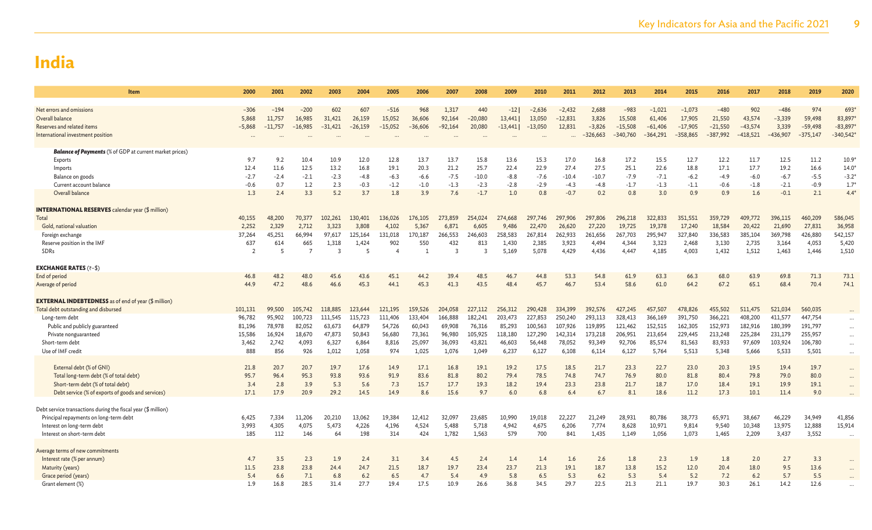| <b>Item</b>                                                    | 2000           | 2001      | 2002           | 2003           | 2004      | 2005      | 2006      | 2007      | 2008      | 2009    | 2010      | 2011      | 2012       | 2013       | 2014       | 2015       | 2016       | 2017       | 2018     | 2019       | 2020       |
|----------------------------------------------------------------|----------------|-----------|----------------|----------------|-----------|-----------|-----------|-----------|-----------|---------|-----------|-----------|------------|------------|------------|------------|------------|------------|----------|------------|------------|
|                                                                |                |           |                |                |           |           |           |           |           |         |           |           |            |            |            |            |            |            |          |            |            |
| Net errors and omissions                                       | $-306$         | $-194$    | $-200$         | 602            | 607       | $-516$    | 968       | 1,317     | 440       | $-12$   | $-2,636$  | $-2,432$  | 2,688      | $-983$     | $-1,021$   | $-1,073$   | $-480$     | 902        | $-486$   | 974        | 693*       |
| Overall balance                                                | 5,868          | 11,757    | 16,985         | 31,421         | 26,159    | 15,052    | 36,606    | 92,164    | $-20,080$ | 13,441  | 13,050    | $-12,831$ | 3,826      | 15,508     | 61,406     | 17,905     | 21,550     | 43,574     | $-3,339$ | 59,498     | 83,897     |
| Reserves and related items                                     | $-5,868$       | $-11,757$ | $-16,985$      | $-31,421$      | $-26,159$ | $-15,052$ | $-36,606$ | $-92,164$ | 20,080    | -13,441 | $-13,050$ | 12,831    | $-3,826$   | $-15,508$  | $-61,406$  | $-17,905$  | $-21,550$  | $-43,574$  | 3,339    | $-59,498$  | $-83,897$  |
| International investment position                              |                |           |                |                |           |           | $\ddotsc$ |           |           |         |           |           | $-326,663$ | $-340,760$ | $-364.291$ | $-358,865$ | $-387.992$ | $-418.521$ | -436.907 | $-375,147$ | $-340,542$ |
| <b>Balance of Payments</b> (% of GDP at current market prices) |                |           |                |                |           |           |           |           |           |         |           |           |            |            |            |            |            |            |          |            |            |
| Exports                                                        | 9.7            | 9.2       | 10.4           | 10.9           | 12.0      | 12.8      | 13.7      | 13.7      | 15.8      | 13.6    | 15.3      | 17.0      | 16.8       | 17.2       | 15.5       | 12.7       | 12.2       | 11.7       | 12.5     | 11.2       | $10.9*$    |
| Imports                                                        | 12.4           | 11.6      | 12.5           | 13.2           | 16.8      | 19.1      | 20.3      | 21.2      | 25.7      | 22.4    | 22.9      | 27.4      | 27.5       | 25.1       | 22.6       | 18.8       | 17.1       | 17.7       | 19.2     | 16.6       | $14.0*$    |
| Balance on goods                                               | $-2.7$         | $-2.4$    | $-2.1$         | $-2.3$         | $-4.8$    | $-6.3$    | -6.6      | $-7.5$    | $-10.0$   | $-8.8$  | $-7.6$    | $-10.4$   | $-10.7$    | $-7.9$     | $-7.1$     | $-6.2$     | $-4.9$     | $-6.0$     | $-6.7$   | $-5.5$     | $-3.2*$    |
| Current account balance                                        | $-0.6$         | 0.7       | 1.2            | 2.3            | $-0.3$    | $-1.2$    | $-1.0$    | $-1.3$    | $-2.3$    | $-2.8$  | $-2.9$    | $-4.3$    | $-4.8$     | $-1.7$     | $-1.3$     | $-1.1$     | $-0.6$     | $-1.8$     | $-2.1$   | $-0.9$     | $1.7*$     |
| Overall balance                                                | 1.3            | 2.4       | 3.3            | 5.2            | 3.7       | 1.8       | 3.9       | 7.6       | $-1.7$    | 1.0     | 0.8       | $-0.7$    | 0.2        | 0.8        | 3.0        | 0.9        | 0.9        | 1.6        | $-0.1$   | 2.1        | $4.4*$     |
| <b>INTERNATIONAL RESERVES</b> calendar year (\$ million)       |                |           |                |                |           |           |           |           |           |         |           |           |            |            |            |            |            |            |          |            |            |
| <b>Total</b>                                                   | 40,155         | 48,200    |                |                | 130,401   | 136,026   | 176,105   | 273,859   | 254,024   | 274,668 | 297,746   | 297,906   | 297,806    | 296,218    | 322,833    | 351,551    | 359,729    | 409,772    | 396,115  | 460,209    |            |
|                                                                | 2.252          |           | 70,377         | 102,261        |           |           |           |           |           |         |           |           |            |            |            |            |            |            |          |            | 586,045    |
| Gold, national valuation                                       |                | 2,329     | 2,712          | 3,323          | 3,808     | 4,102     | 5,367     | 6,871     | 6,605     | 9.486   | 22,470    | 26,620    | 27,220     | 19,725     | 19,378     | 17,240     | 18,584     | 20,422     | 21,690   | 27,831     | 36,958     |
| Foreign exchange                                               | 37,264         | 45.251    | 66,994         | 97,617         | 125,164   | 131,018   | 170,187   | 266,553   | 246,603   | 258,583 | 267,814   | 262,933   | 261,656    | 267,703    | 295,947    | 327,840    | 336,583    | 385,104    | 369,798  | 426,880    | 542,157    |
| Reserve position in the IMF                                    | 637            | 614       | 665            | 1,318          | 1,424     | 902       | 550       | 432       | 813       | 1,430   | 2,385     | 3,923     | 4,494      | 4,344      | 3,323      | 2,468      | 3,130      | 2,735      | 3,164    | 4,053      | 5,420      |
| SDRs                                                           | $\overline{2}$ |           | $\overline{ }$ | $\overline{3}$ | 5         |           | -1        | 3         |           | 5,169   | 5,078     | 4,429     | 4,436      | 4.447      | 4,185      | 4,003      | 1,432      | 1,512      | 1,463    | 1,446      | 1,510      |
| <b>EXCHANGE RATES (₹-\$)</b>                                   |                |           |                |                |           |           |           |           |           |         |           |           |            |            |            |            |            |            |          |            |            |
| End of period                                                  | 46.8           | 48.2      | 48.0           | 45.6           | 43.6      | 45.1      | 44.2      | 39.4      | 48.5      | 46.7    | 44.8      | 53.3      | 54.8       | 61.9       | 63.3       | 66.3       | 68.0       | 63.9       | 69.8     | 71.3       | 73.1       |
| Average of period                                              | 44.9           | 47.2      | 48.6           | 46.6           | 45.3      | 44.1      | 45.3      | 41.3      | 43.5      | 48.4    | 45.7      | 46.7      | 53.4       | 58.6       | 61.0       | 64.2       | 67.2       | 65.1       | 68.4     | 70.4       | 74.1       |
| <b>EXTERNAL INDEBTEDNESS</b> as of end of year (\$ million)    |                |           |                |                |           |           |           |           |           |         |           |           |            |            |            |            |            |            |          |            |            |
| Total debt outstanding and disbursed                           | 101,131        | 99,500    | 105,742        | 118,885        | 123,644   | 121,195   | 159,526   | 204,058   | 227,112   | 256,312 | 290,428   | 334,399   | 392,576    | 427,245    | 457,507    | 478,826    | 455,502    | 511,475    | 521,034  | 560,035    |            |
| Long-term debt                                                 | 96,782         | 95,902    | 100,723        | 111,545        | 115,723   | 111,406   | 133,404   | 166,888   | 182,241   | 203,473 | 227,853   | 250,240   | 293,113    | 328,413    | 366,169    | 391,750    | 366,221    | 408,200    | 411,577  | 447,754    | $\cdots$   |
| Public and publicly guaranteed                                 | 81,196         | 78,978    | 82,052         | 63,673         | 64,879    | 54,726    | 60,043    | 69,908    | 76,316    | 85,293  | 100,563   | 107,926   | 119,895    | 121,462    | 152,515    | 162,305    | 152,973    | 182,916    | 180,399  | 191,797    | $\cdots$   |
| Private nonguaranteed                                          | 15,586         | 16,924    | 18,670         | 47,873         | 50.843    | 56,680    | 73,361    | 96,980    | 105,925   | 118,180 | 127.290   | 142,314   | 173,218    | 206,951    | 213,654    | 229,445    | 213,248    | 225,284    | 231,179  | 255,957    | $\cdots$   |
| Short-term debt                                                | 3,462          | 2,742     | 4,093          | 6,327          | 6,864     | 8,816     | 25,097    | 36,093    | 43,821    | 46,603  | 56,448    | 78,052    | 93,349     | 92,706     | 85,574     | 81,563     | 83,933     | 97,609     | 103,924  | 106,780    | $\cdots$   |
| Use of IMF credit                                              | 888            | 856       | 926            | 1,012          | 1,058     | 974       | 1,025     | 1,076     | 1,049     | 6,237   | 6,127     | 6,108     | 6,114      | 6,127      | 5,764      | 5,513      | 5,348      | 5,666      | 5,533    | 5,501      |            |
|                                                                |                |           |                |                |           |           |           |           |           |         |           |           |            |            |            |            |            |            |          |            |            |
| External debt (% of GNI)                                       | 21.8           | 20.7      | 20.7           | 19.7           | 17.6      | 14.9      | 17.1      | 16.8      | 19.1      | 19.2    | 17.5      | 18.5      | 21.7       | 23.3       | 22.7       | 23.0       | 20.3       | 19.5       | 19.4     | 19.7       | $\cdots$   |
| Total long-term debt (% of total debt)                         | 95.7           | 96.4      | 95.3           | 93.8           | 93.6      | 91.9      | 83.6      | 81.8      | 80.2      | 79.4    | 78.5      | 74.8      | 74.7       | 76.9       | 80.0       | 81.8       | 80.4       | 79.8       | 79.0     | 80.0       | $\cdots$   |
| Short-term debt (% of total debt)                              | 3.4            | 2.8       | 3.9            | 5.3            | 5.6       | 7.3       | 15.7      | 17.7      | 19.3      | 18.2    | 19.4      | 23.3      | 23.8       | 21.7       | 18.7       | 17.0       | 18.4       | 19.1       | 19.9     | 19.1       | $\cdots$   |
| Debt service (% of exports of goods and services)              | 17.1           | 17.9      | 20.9           | 29.2           | 14.5      | 14.9      | 8.6       | 15.6      | 9.7       | 6.0     | 6.8       | 6.4       | 6.7        | 8.1        | 18.6       | 11.2       | 17.3       | 10.1       | 11.4     | 9.0        |            |
| Debt service transactions during the fiscal year (\$ million)  |                |           |                |                |           |           |           |           |           |         |           |           |            |            |            |            |            |            |          |            |            |
| Principal repayments on long-term debt                         | 6.425          | 7.334     | 11,206         | 20,210         | 13.062    | 19,384    | 12,412    | 32,097    | 23,685    | 10.990  | 19.018    | 22,227    | 21,249     | 28.931     | 80,786     | 38,773     | 65,971     | 38,667     | 46,229   | 34,949     | 41,856     |
| Interest on long-term debt                                     | 3.993          | 4,305     | 4,075          | 5,473          | 4,226     | 4,196     | 4,524     | 5,488     | 5,718     | 4,942   | 4,675     | 6,206     | 7,774      | 8,628      | 10,971     | 9,814      | 9,540      | 10,348     | 13,975   | 12,888     | 15,914     |
| Interest on short-term debt                                    | 185            | 112       | 146            | 64             | 198       | 314       | 424       | 1,782     | 1,563     | 579     | 700       | 841       | 1.435      | 1.149      | 1,056      | 1,073      | 1,465      | 2,209      | 3,437    | 3,552      |            |
|                                                                |                |           |                |                |           |           |           |           |           |         |           |           |            |            |            |            |            |            |          |            | $\cdots$   |
| Average terms of new commitments                               |                |           |                |                |           |           |           |           |           |         |           |           |            |            |            |            |            |            |          |            |            |
| Interest rate (% per annum)                                    | 4.7            | 3.5       | 2.3            | 1.9            | 2.4       | 3.1       | 3.4       | 4.5       | 2.4       | 1.4     | 1.4       | 1.6       | 2.6        | 1.8        | 2.3        | 1.9        | 1.8        | 2.0        | 2.7      | 3.3        |            |
| Maturity (years)                                               | 11.5           | 23.8      | 23.8           | 24.4           | 24.7      | 21.5      | 18.7      | 19.7      | 23.4      | 23.7    | 21.3      | 19.1      | 18.7       | 13.8       | 15.2       | 12.0       | 20.4       | 18.0       | 9.5      | 13.6       |            |
| Grace period (years)                                           | 5.4            | 6.6       | 7.1            | 6.8            | 6.2       | 6.5       | 4.7       | 5.4       | 4.9       | 5.8     | 6.5       | 5.3       | 6.2        | 5.3        | 5.4        | 5.2        | 7.2        | 6.2        | 5.7      | 5.5        |            |
| Grant element (%)                                              | 1.9            | 16.8      | 28.5           | 31.4           | 27.7      | 19.4      | 17.5      | 10.9      | 26.6      | 36.8    | 34.5      | 29.7      | 22.5       | 21.3       | 21.1       | 19.7       | 30.3       | 26.1       | 14.2     | 12.6       |            |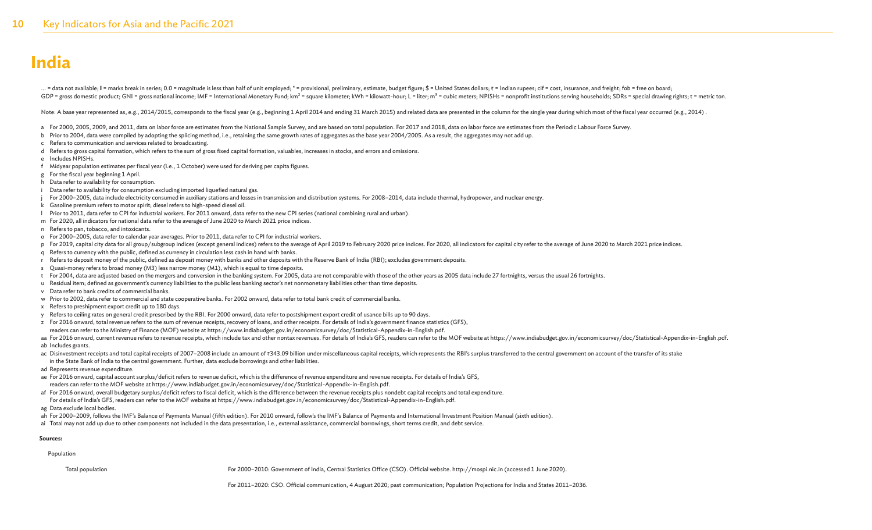... = data not available: I = marks break in series; 0.0 = magnitude is less than half of unit employed; \* = provisional, preliminary, estimate, budget figure; \$ = United States dollars; ₹ = Indian rupees; cif = cost, insu GDP = gross domestic product; GNI = gross national income; IMF = International Monetary Fund; km<sup>2</sup> = square kilometer; kWh = kilowatt-hour; L = liter; m<sup>3</sup> = cubic meters; NPISHs = nonprofit institutions serving household

. (Acte: A base year represented as, e.g., 2014/2015, corresponds to the fiscal year (e.g., beginning 1 April 2014 and ending 31 March 2015) and related data are presented in the column for the single year during which mos

- a For 2000, 2005, 2009, and 2011, data on labor force are estimates from the National Sample Survey, and are based on total population. For 2017 and 2018, data on labor force are estimates from the Periodic Labour Force Su
- b Prior to 2004, data were compiled by adopting the splicing method, i.e., retaining the same growth rates of aggregates as the base year 2004/2005. As a result, the aggregates may not add up.
- c Refers to communication and services related to broadcasting.
- d Refers to gross capital formation, which refers to the sum of gross fixed capital formation, valuables, increases in stocks, and errors and omissions.
- e Includes NPISHs.
- f Midyear population estimates per fiscal year (i.e., 1 October) were used for deriving per capita figures.
- g For the fiscal year beginning 1 April.
- h Data refer to availability for consumption.
- i Data refer to availability for consumption excluding imported liquefied natural gas.
- j For 2000–2005, data include electricity consumed in auxiliary stations and losses in transmission and distribution systems. For 2008–2014, data include thermal, hydropower, and nuclear energy.
- k Gasoline premium refers to motor spirit; diesel refers to high-speed diesel oil.
- l Prior to 2011, data refer to CPI for industrial workers. For 2011 onward, data refer to the new CPI series (national combining rural and urban).
- m For 2020, all indicators for national data refer to the average of June 2020 to March 2021 price indices.
- n Refers to pan, tobacco, and intoxicants.
- o For 2000–2005, data refer to calendar year averages. Prior to 2011, data refer to CPI for industrial workers.
- p For 2019, capital city data for all group/subgroup indices (except general indices) refers to the average of April 2019 to February 2020 price indices. For 2020, all indicators for capital city refer to the average of Au
- q Refers to currency with the public, defined as currency in circulation less cash in hand with banks.
- r Refers to deposit money of the public, defined as deposit money with banks and other deposits with the Reserve Bank of India (RBI); excludes government deposits.
- s Quasi-money refers to broad money (M3) less narrow money (M1), which is equal to time deposits.
- t For 2004, data are adjusted based on the mergers and conversion in the banking system. For 2005, data are not comparable with those of the other years as 2005 data include 27 fortnights, versus the usual 26 fortnights.
- u Residual item; defined as government's currency liabilities to the public less banking sector's net nonmonetary liabilities other than time deposits.
- v Data refer to bank credits of commercial banks.
- w Prior to 2002, data refer to commercial and state cooperative banks. For 2002 onward, data refer to total bank credit of commercial banks.
- x Refers to preshipment export credit up to 180 days.
- y Refers to ceiling rates on general credit prescribed by the RBI. For 2000 onward, data refer to postshipment export credit of usance bills up to 90 days.
- z For 2016 onward, total revenue refers to the sum of revenue receipts, recovery of loans, and other receipts. For details of India's government finance statistics (GFS),
- readers can refer to the Ministry of Finance (MOF) website at https://www.indiabudget.gov.in/economicsurvey/doc/Statistical-Appendix-in-English.pdf.
- aa For 2016 onward, current revenue refers to revenue receipts, which include tax and other nontax revenues. For details of India's GFS, readers can refer to the MOF website at https://www.indiabudget.gov.in/economicsurvey ab Includes grants.
- ac Disinvestment receipts and total capital receipts of 2007-2008 include an amount of ₹343.09 billion under miscellaneous capital receipts, which represents the RBI's surplus transferred to the central government on accou in the State Bank of India to the central government. Further, data exclude borrowings and other liabilities.
- ad Represents revenue expenditure.
- ae For 2016 onward, capital account surplus/deficit refers to revenue deficit, which is the difference of revenue expenditure and revenue receipts. For details of India's GFS, readers can refer to the MOF website at https://www.indiabudget.gov.in/economicsurvey/doc/Statistical-Appendix-in-English.pdf.
- af For 2016 onward, overall budgetary surplus/deficit refers to fiscal deficit, which is the difference between the revenue receipts plus nondebt capital receipts and total expenditure.
- For details of India's GFS, readers can refer to the MOF website at https://www.indiabudget.gov.in/economicsurvey/doc/Statistical-Appendix-in-English.pdf.
- ag Data exclude local bodies.
- ah For 2000-2009, follows the IMF's Balance of Payments Manual (fifth edition). For 2010 onward, follow's the IMF's Balance of Payments and International Investment Position Manual (sixth edition).
- ai Total may not add up due to other components not included in the data presentation, i.e., external assistance, commercial borrowings, short terms credit, and debt service.

#### **Sources:**

Population

Total population For 2000–2010: Government of India, Central Statistics Office (CSO). Official website. http://mospi.nic.in (accessed 1 June 2020).

For 2011–2020: CSO. Official communication, 4 August 2020; past communication; Population Projections for India and States 2011–2036.